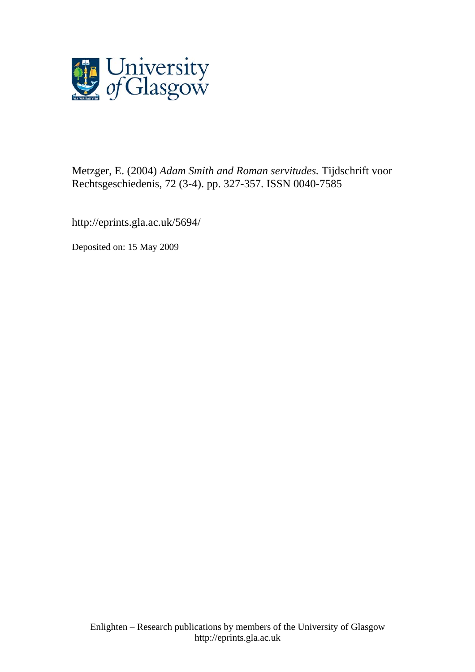

Metzger, E. (2004) *Adam Smith and Roman servitudes.* Tijdschrift voor Rechtsgeschiedenis, 72 (3-4). pp. 327-357. ISSN 0040-7585

http://eprints.gla.ac.uk/5694/

Deposited on: 15 May 2009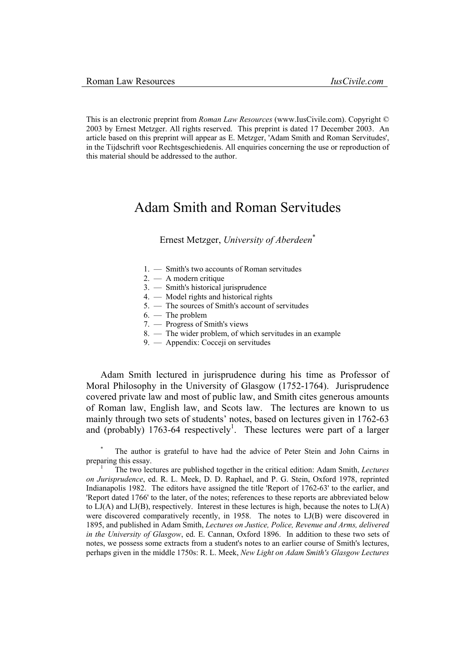<span id="page-1-1"></span>This is an electronic preprint from *Roman Law Resources* (www.IusCivile.com). Copyright © 2003 by Ernest Metzger. All rights reserved. This preprint is dated 17 December 2003. An article based on this preprint will appear as E. Metzger, 'Adam Smith and Roman Servitudes', in the Tijdschrift voor Rechtsgeschiedenis. All enquiries concerning the use or reproduction of this material should be addressed to the author.

# Adam Smith and Roman Servitudes

Ernest Metzger, *University of Aberdeen*[\\*](#page-1-0)

- 1. Smith's two accounts of Roman servitudes
- 2. A modern critique
- 3. Smith's historical jurisprudence
- 4. Model rights and historical rights
- 5. The sources of Smith's account of servitudes
- 6. The problem
- 7. Progress of Smith's views
- 8. The wider problem, of which servitudes in an example
- 9. Appendix: Cocceji on servitudes

Adam Smith lectured in jurisprudence during his time as Professor of Moral Philosophy in the University of Glasgow (1752-1764). Jurisprudence covered private law and most of public law, and Smith cites generous amounts of Roman law, English law, and Scots law. The lectures are known to us mainly through two sets of students' notes, based on lectures given in 1762-63 and (probably)  $1763-64$  respectively<sup>1</sup>[.](#page-1-1) These lectures were part of a larger

<span id="page-1-0"></span><sup>\*</sup> The author is grateful to have had the advice of Peter Stein and John Cairns in preparing this essay.

The two lectures are published together in the critical edition: Adam Smith, *Lectures on Jurisprudence*, ed. R. L. Meek, D. D. Raphael, and P. G. Stein, Oxford 1978, reprinted Indianapolis 1982. The editors have assigned the title 'Report of 1762-63' to the earlier, and 'Report dated 1766' to the later, of the notes; references to these reports are abbreviated below to LJ(A) and LJ(B), respectively. Interest in these lectures is high, because the notes to LJ(A) were discovered comparatively recently, in 1958. The notes to LJ(B) were discovered in 1895, and published in Adam Smith, *Lectures on Justice, Police, Revenue and Arms, delivered in the University of Glasgow*, ed. E. Cannan, Oxford 1896. In addition to these two sets of notes, we possess some extracts from a student's notes to an earlier course of Smith's lectures, perhaps given in the middle 1750s: R. L. Meek, *New Light on Adam Smith's Glasgow Lectures*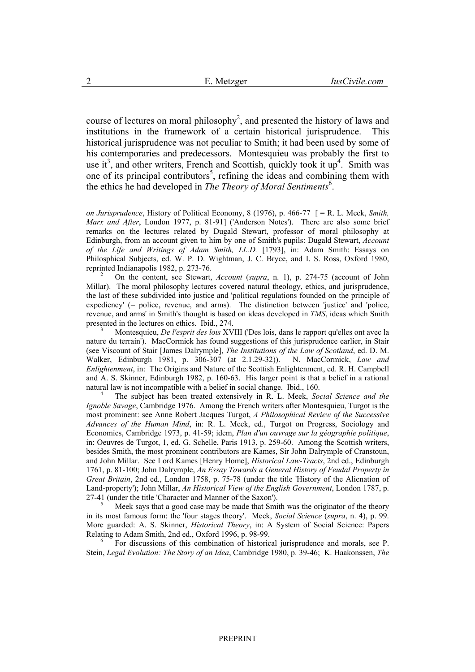course of lectures on moral philosophy<sup>[2](#page-2-0)</sup>, and presented the history of laws and institutions in the framework of a certain historical jurisprudence. This historical jurisprudence was not peculiar to Smith; it had been used by some of his contemporaries and predecessors. Montesquieu was probably the first to use it<sup>[3](#page-2-1)</sup>, and other writers, French and Scottish, quickly took it up<sup>4</sup>[.](#page-2-2) Smith was one of its principal contributors<sup>[5](#page-2-3)</sup>, refining the ideas and combining them with the ethics he had developed in *The Theory of Moral Sentiments*<sup>6</sup> [.](#page-2-4) 

*on Jurisprudence*, History of Political Economy, 8 (1976), p. 466-77 [ = R. L. Meek, *Smith, Marx and After*, London 1977, p. 81-91] ('Anderson Notes'). There are also some brief remarks on the lectures related by Dugald Stewart, professor of moral philosophy at Edinburgh, from an account given to him by one of Smith's pupils: Dugald Stewart, *Account of the Life and Writings of Adam Smith, LL.D.* [1793], in: Adam Smith: Essays on Philosphical Subjects, ed. W. P. D. Wightman, J. C. Bryce, and I. S. Ross, Oxford 1980, reprinted Indianapolis 1982, p. 273-76.<br><sup>2</sup> On the content, see Stewart, *Account* (*supra*, n. 1), p. 274-75 (account of John

<span id="page-2-0"></span>Millar). The moral philosophy lectures covered natural theology, ethics, and jurisprudence, the last of these subdivided into justice and 'political regulations founded on the principle of expediency' (= police, revenue, and arms). The distinction between 'justice' and 'police, revenue, and arms' in Smith's thought is based on ideas developed in *TMS*, ideas which Smith presented in the lectures on ethics. Ibid., 274.

<span id="page-2-1"></span> Montesquieu, *De l'esprit des lois* XVIII ('Des lois, dans le rapport qu'elles ont avec la nature du terrain'). MacCormick has found suggestions of this jurisprudence earlier, in Stair (see Viscount of Stair [James Dalrymple], *The Institutions of the Law of Scotland*, ed. D. M. Walker, Edinburgh 1981, p. 306-307 (at 2.1.29-32)). N. MacCormick, *Law and Enlightenment*, in: The Origins and Nature of the Scottish Enlightenment, ed. R. H. Campbell and A. S. Skinner, Edinburgh 1982, p. 160-63. His larger point is that a belief in a rational natural law is not incompatible with a belief in social change. Ibid., 160.<br><sup>4</sup> The subject has been treated extensively in R. L. Meek, *Social Science and the* 

<span id="page-2-2"></span>*Ignoble Savage*, Cambridge 1976. Among the French writers after Montesquieu, Turgot is the most prominent: see Anne Robert Jacques Turgot, *A Philosophical Review of the Successive Advances of the Human Mind*, in: R. L. Meek, ed., Turgot on Progress, Sociology and Economics, Cambridge 1973, p. 41-59; idem, *Plan d'un ouvrage sur la géographie politique*, in: Oeuvres de Turgot, 1, ed. G. Schelle, Paris 1913, p. 259-60. Among the Scottish writers, besides Smith, the most prominent contributors are Kames, Sir John Dalrymple of Cranstoun, and John Millar. See Lord Kames [Henry Home], *Historical Law-Tracts*, 2nd ed., Edinburgh 1761, p. 81-100; John Dalrymple, *An Essay Towards a General History of Feudal Property in Great Britain*, 2nd ed., London 1758, p. 75-78 (under the title 'History of the Alienation of Land-property'); John Millar, *An Historical View of the English Government*, London 1787, p. 27-41 (under the title 'Character and Manner of the Saxon').<br>
S Meek says that a good case may be made that Smith was the originator of the theory

<span id="page-2-3"></span>in its most famous form: the 'four stages theory'. Meek, *Social Science* (*supra*, n. 4), p. 99. More guarded: A. S. Skinner, *Historical Theory*, in: A System of Social Science: Papers Relating to Adam Smith, 2nd ed., Oxford 1996, p. 98-99.<br><sup>6</sup> For discussions of this combination of historical jurisprudence and morals, see P.

Stein, *Legal Evolution: The Story of an Idea*, Cambridge 1980, p. 39-46; K. Haakonssen, *The* 

<span id="page-2-4"></span>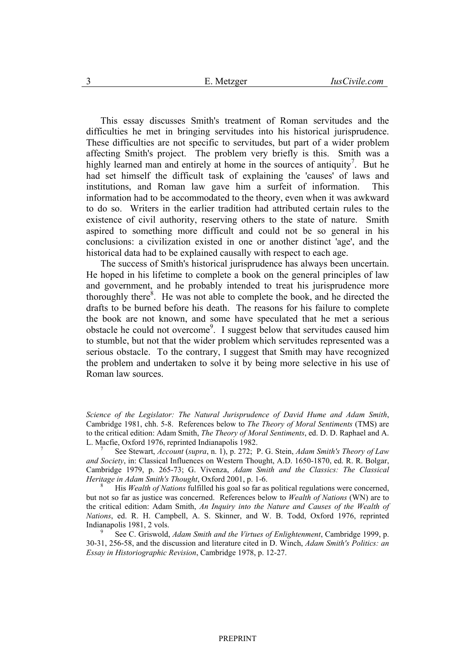This essay discusses Smith's treatment of Roman servitudes and the difficulties he met in bringing servitudes into his historical jurisprudence. These difficulties are not specific to servitudes, but part of a wider problem affecting Smith's project. The problem very briefly is this. Smith was a highly learned man and entirely at home in the sources of antiquity<sup>7</sup>. But he had set himself the difficult task of explaining the 'causes' of laws and institutions, and Roman law gave him a surfeit of information. This information had to be accommodated to the theory, even when it was awkward to do so. Writers in the earlier tradition had attributed certain rules to the existence of civil authority, reserving others to the state of nature. Smith aspired to something more difficult and could not be so general in his conclusions: a civilization existed in one or another distinct 'age', and the historical data had to be explained causally with respect to each age.

The success of Smith's historical jurisprudence has always been uncertain. He hoped in his lifetime to complete a book on the general principles of law and government, and he probably intended to treat his jurisprudence more thoroughly there $\overset{8}{\cdot}$ [.](#page-3-1) He was not able to complete the book, and he directed the drafts to be burned before his death. The reasons for his failure to complete the book are not known, and some have speculated that he met a serious obstacle he could not overcome<sup>9</sup>[.](#page-3-2) I suggest below that servitudes caused him to stumble, but not that the wider problem which servitudes represented was a serious obstacle. To the contrary, I suggest that Smith may have recognized the problem and undertaken to solve it by being more selective in his use of Roman law sources.

*Science of the Legislator: The Natural Jurisprudence of David Hume and Adam Smith*, Cambridge 1981, chh. 5-8. References below to *The Theory of Moral Sentiments* (TMS) are to the critical edition: Adam Smith, *The Theory of Moral Sentiments*, ed. D. D. Raphael and A. L. Macfie, Oxford 1976, reprinted Indianapolis 1982.

<span id="page-3-0"></span> See Stewart, *Account* (*supra*, n. 1), p. 272; P. G. Stein, *Adam Smith's Theory of Law and Society*, in: Classical Influences on Western Thought, A.D. 1650-1870, ed. R. R. Bolgar, Cambridge 1979, p. 265-73; G. Vivenza, *Adam Smith and the Classics: The Classical Heritage in Adam Smith's Thought*, Oxford 2001, p. 1-6.

<span id="page-3-1"></span> His *Wealth of Nations* fulfilled his goal so far as political regulations were concerned, but not so far as justice was concerned. References below to *Wealth of Nations* (WN) are to the critical edition: Adam Smith, *An Inquiry into the Nature and Causes of the Wealth of Nations*, ed. R. H. Campbell, A. S. Skinner, and W. B. Todd, Oxford 1976, reprinted Indianapolis 1981, 2 vols.<br><sup>9</sup> See C. Griswold, *Adam Smith and the Virtues of Enlightenment*, Cambridge 1999, p.

<span id="page-3-2"></span>30-31, 256-58, and the discussion and literature cited in D. Winch, *Adam Smith's Politics: an Essay in Historiographic Revision*, Cambridge 1978, p. 12-27.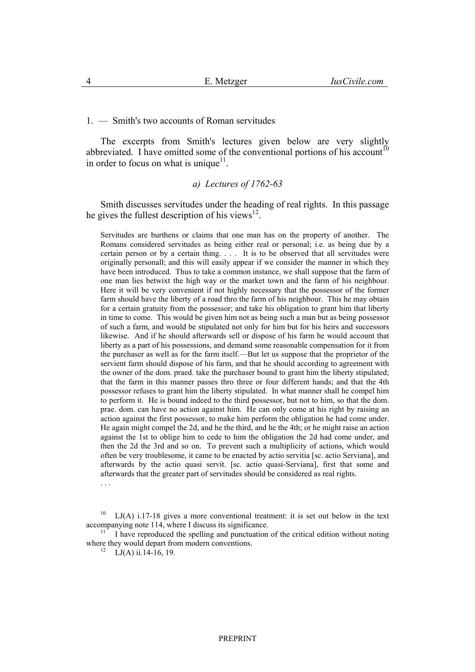#### 1. — Smith's two accounts of Roman servitudes

The excerpts from Smith's lectures given below are very slightly abbreviated. I have omitted some of the conventional portions of his account<sup>10</sup> in order to focus on what is unique $11$ .

#### *a) Lectures of 1762-63*

Smith discusses servitudes under the heading of real rights. In this passage he gives the fullest description of his views $^{12}$ .

Servitudes are burthens or claims that one man has on the property of another. The Romans considered servitudes as being either real or personal; i.e. as being due by a certain person or by a certain thing. . . . It is to be observed that all servitudes were originally personall; and this will easily appear if we consider the manner in which they have been introduced. Thus to take a common instance, we shall suppose that the farm of one man lies betwixt the high way or the market town and the farm of his neighbour. Here it will be very convenient if not highly necessary that the possessor of the former farm should have the liberty of a road thro the farm of his neighbour. This he may obtain for a certain gratuity from the possessor; and take his obligation to grant him that liberty in time to come. This would be given him not as being such a man but as being possessor of such a farm, and would be stipulated not only for him but for his heirs and successors likewise. And if he should afterwards sell or dispose of his farm he would account that liberty as a part of his possessions, and demand some reasonable compensation for it from the purchaser as well as for the farm itself.—But let us suppose that the proprietor of the servient farm should dispose of his farm, and that he should according to agreement with the owner of the dom. praed. take the purchaser bound to grant him the liberty stipulated; that the farm in this manner passes thro three or four different hands; and that the 4th possessor refuses to grant him the liberty stipulated. In what manner shall he compel him to perform it. He is bound indeed to the third possessor, but not to him, so that the dom. prae. dom. can have no action against him. He can only come at his right by raising an action against the first possessor, to make him perform the obligation he had come under. He again might compel the 2d, and he the third, and he the 4th; or he might raise an action against the 1st to oblige him to cede to him the obligation the 2d had come under, and then the 2d the 3rd and so on. To prevent such a multiplicity of actions, which would often be very troublesome, it came to be enacted by actio servitia [sc. actio Serviana], and afterwards by the actio quasi servit. [sc. actio quasi-Serviana], first that some and afterwards that the greater part of servitudes should be considered as real rights. . . .

<span id="page-4-0"></span> $10$  LJ(A) i.17-18 gives a more conventional treatment: it is set out below in the text accompanying note 114, where I discuss its significance.<br><sup>11</sup> I have reproduced the spelling and punctuation of the critical edition without noting

<span id="page-4-1"></span>where they would depart from modern conventions.<br> $^{12}$  LJ(A) ii.14-16, 19.

<span id="page-4-2"></span>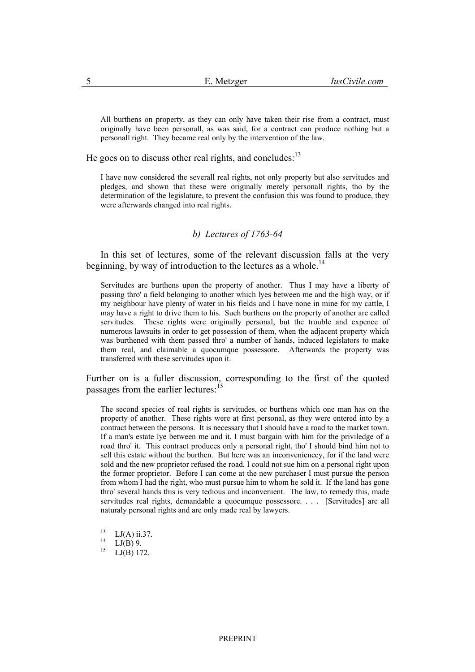All burthens on property, as they can only have taken their rise from a contract, must originally have been personall, as was said, for a contract can produce nothing but a personall right. They became real only by the intervention of the law.

He goes on to discuss other real rights, and concludes: $13$ 

I have now considered the severall real rights, not only property but also servitudes and pledges, and shown that these were originally merely personall rights, tho by the determination of the legislature, to prevent the confusion this was found to produce, they were afterwards changed into real rights.

# *b) Lectures of 1763-64*

In this set of lectures, some of the relevant discussion falls at the very beginning, by way of introduction to the lectures as a whole.<sup>[14](#page-5-1)</sup>

Servitudes are burthens upon the property of another. Thus I may have a liberty of passing thro' a field belonging to another which lyes between me and the high way, or if my neighbour have plenty of water in his fields and I have none in mine for my cattle, I may have a right to drive them to his. Such burthens on the property of another are called servitudes. These rights were originally personal, but the trouble and expence of numerous lawsuits in order to get possession of them, when the adjacent property which was burthened with them passed thro' a number of hands, induced legislators to make them real, and claimable a quocumque possessore. Afterwards the property was transferred with these servitudes upon it.

Further on is a fuller discussion, corresponding to the first of the quoted passages from the earlier lectures:<sup>[15](#page-5-2)</sup>

The second species of real rights is servitudes, or burthens which one man has on the property of another. These rights were at first personal, as they were entered into by a contract between the persons. It is necessary that I should have a road to the market town. If a man's estate lye between me and it, I must bargain with him for the priviledge of a road thro' it. This contract produces only a personal right, tho' I should bind him not to sell this estate without the burthen. But here was an inconveniencey, for if the land were sold and the new proprietor refused the road, I could not sue him on a personal right upon the former proprietor. Before I can come at the new purchaser I must pursue the person from whom I had the right, who must pursue him to whom he sold it. If the land has gone thro' several hands this is very tedious and inconvenient. The law, to remedy this, made servitudes real rights, demandable a quocumque possessore. . . . [Servitudes] are all naturaly personal rights and are only made real by lawyers.

<span id="page-5-1"></span><span id="page-5-0"></span><sup>13</sup> LJ(A) ii.37.<br><sup>14</sup> LJ(B) 9.<br><sup>15</sup> LJ(B) 172.

<span id="page-5-2"></span>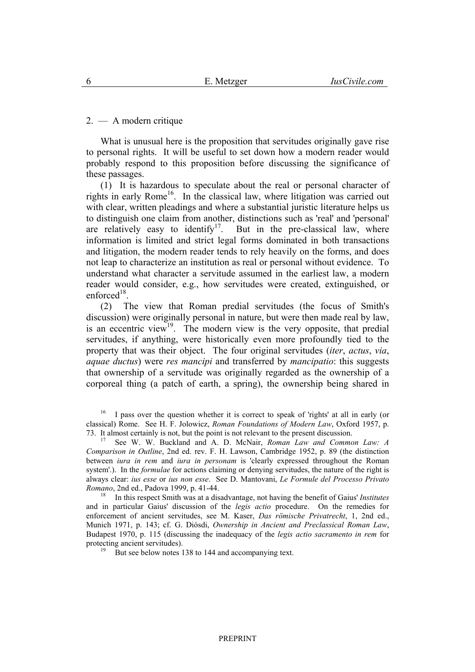### 2. — A modern critique

What is unusual here is the proposition that servitudes originally gave rise to personal rights. It will be useful to set down how a modern reader would probably respond to this proposition before discussing the significance of these passages.

(1) It is hazardous to speculate about the real or personal character of rights in early Rome [16.](#page-6-0) In the classical law, where litigation was carried out with clear, written pleadings and where a substantial juristic literature helps us to distinguish one claim from another, distinctions such as 'real' and 'personal' are relatively easy to identify<sup>17</sup>. But in the pre-classical law, where information is limited and strict legal forms dominated in both transactions and litigation, the modern reader tends to rely heavily on the forms, and does not leap to characterize an institution as real or personal without evidence. To understand what character a servitude assumed in the earliest law, a modern reader would consider, e.g., how servitudes were created, extinguished, or enforced<sup>18</sup>.

(2) The view that Roman predial servitudes (the focus of Smith's discussion) were originally personal in nature, but were then made real by law, is an eccentric view<sup>19</sup>. The modern view is the very opposite, that predial servitudes, if anything, were historically even more profoundly tied to the property that was their object. The four original servitudes (*iter*, *actus*, *via*, *aquae ductus*) were *res mancipi* and transferred by *mancipatio*: this suggests that ownership of a servitude was originally regarded as the ownership of a corporeal thing (a patch of earth, a spring), the ownership being shared in

<span id="page-6-2"></span>and in particular Gaius' discussion of the *legis actio* procedure. On the remedies for enforcement of ancient servitudes, see M. Kaser, *Das römische Privatrecht*, 1, 2nd ed., Munich 1971, p. 143; cf. G. Diósdi, *Ownership in Ancient and Preclassical Roman Law*, Budapest 1970, p. 115 (discussing the inadequacy of the *legis actio sacramento in rem* for protecting ancient servitudes).<br><sup>19</sup> But see below notes 138 to 144 and accompanying text.

<span id="page-6-3"></span>

<span id="page-6-0"></span>I pass over the question whether it is correct to speak of 'rights' at all in early (or classical) Rome. See H. F. Jolowicz, *Roman Foundations of Modern Law*, Oxford 1957, p. 73. It almost certainly is not, but the point is not relevant to the present discussion. 17 See W. W. Buckland and A. D. McNair, *Roman Law and Common Law: A* 

<span id="page-6-1"></span>*Comparison in Outline*, 2nd ed. rev. F. H. Lawson, Cambridge 1952, p. 89 (the distinction between *iura in rem* and *iura in personam* is 'clearly expressed throughout the Roman system'.). In the *formulae* for actions claiming or denying servitudes, the nature of the right is always clear: *ius esse* or *ius non esse*. See D. Mantovani, *Le Formule del Processo Privato Romano*, 2nd ed., Padova 1999, p. 41-44.<br><sup>18</sup> In this respect Smith was at a disadvantage, not having the benefit of Gaius' *Institutes*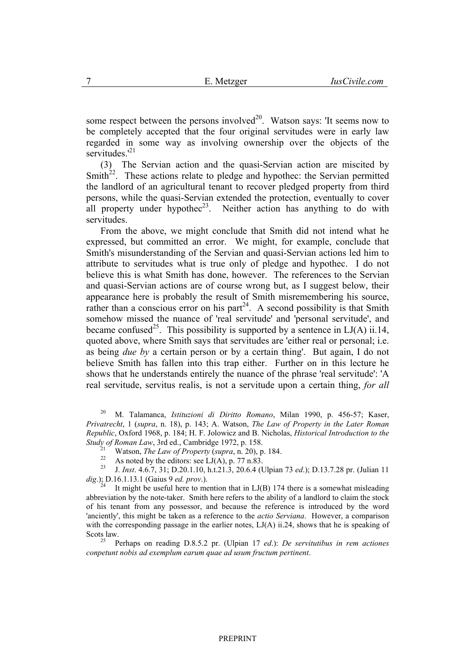some respect between the persons involved $2<sup>0</sup>$ . Watson says: 'It seems now to be completely accepted that the four original servitudes were in early law regarded in some way as involving ownership over the objects of the servitudes.<sup>[21](#page-7-1)</sup>

(3) The Servian action and the quasi-Servian action are miscited by  $\sinh^{22}$ . These actions relate to pledge and hypothec: the Servian permitted the landlord of an agricultural tenant to recover pledged property from third persons, while the quasi-Servian extended the protection, eventually to cover all property under hypothec<sup>23</sup>. Neither action has anything to do with servitudes.

From the above, we might conclude that Smith did not intend what he expressed, but committed an error. We might, for example, conclude that Smith's misunderstanding of the Servian and quasi-Servian actions led him to attribute to servitudes what is true only of pledge and hypothec. I do not believe this is what Smith has done, however. The references to the Servian and quasi-Servian actions are of course wrong but, as I suggest below, their appearance here is probably the result of Smith misremembering his source, rather than a conscious error on his part<sup>24</sup>. A second possibility is that Smith somehow missed the nuance of 'real servitude' and 'personal servitude', and became confused<sup>25</sup>. This possibility is supported by a sentence in LJ(A) ii.14, quoted above, where Smith says that servitudes are 'either real or personal; i.e. as being *due by* a certain person or by a certain thing'. But again, I do not believe Smith has fallen into this trap either. Further on in this lecture he shows that he understands entirely the nuance of the phrase 'real servitude': 'A real servitude, servitus realis, is not a servitude upon a certain thing, *for all* 

<span id="page-7-0"></span>20 M. Talamanca, *Istituzioni di Diritto Romano*, Milan 1990, p. 456-57; Kaser, *Privatrecht*, 1 (*supra*, n. 18), p. 143; A. Watson, *The Law of Property in the Later Roman Republic*, Oxford 1968, p. 184; H. F. Jolowicz and B. Nicholas, *Historical Introduction to the*  Study of Roman Law, 3rd ed., Cambridge 1972, p. 158.<br>
<sup>21</sup> Watson, *The Law of Property (supra, n. 20), p. 184.*<br>
<sup>22</sup> As noted by the editors: see LJ(A), p. 77 n.83.<br>
<sup>23</sup> J. *Inst.* 4.6.7, 31; D.20.1.10, h.t.21.3, 20.6.

<span id="page-7-1"></span>

<span id="page-7-3"></span><span id="page-7-2"></span>

*dig.*); D.16.1.13.1 (Gaius 9 *ed. prov.*).<br><sup>24</sup> It might be useful here to mention that in LJ(B) 174 there is a somewhat misleading

<span id="page-7-4"></span>abbreviation by the note-taker. Smith here refers to the ability of a landlord to claim the stock of his tenant from any possessor, and because the reference is introduced by the word 'anciently', this might be taken as a reference to the *actio Serviana*. However, a comparison with the corresponding passage in the earlier notes, LJ(A) ii.24, shows that he is speaking of Scots law. 25 Perhaps on reading D.8.5.2 pr. (Ulpian 17 *ed*.): *De servitutibus in rem actiones* 

<span id="page-7-5"></span>*conpetunt nobis ad exemplum earum quae ad usum fructum pertinent*.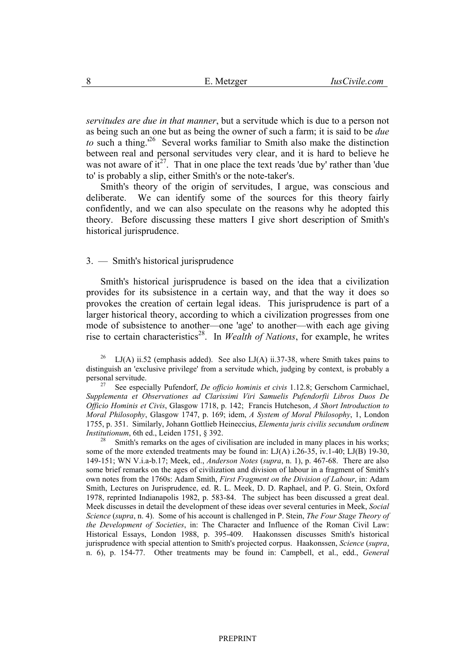<span id="page-8-2"></span>*servitudes are due in that manner*, but a servitude which is due to a person not as being such an one but as being the owner of such a farm; it is said to be *due to* such a thing.<sup>26</sup> Several works familiar to Smith also make the distinction between real and personal servitudes very clear, and it is hard to believe he was not aware of  $it^{27}$ . That in one place the text reads 'due by' rather than 'due to' is probably a slip, either Smith's or the note-taker's.

Smith's theory of the origin of servitudes, I argue, was conscious and deliberate. We can identify some of the sources for this theory fairly confidently, and we can also speculate on the reasons why he adopted this theory. Before discussing these matters I give short description of Smith's historical jurisprudence.

### 3. — Smith's historical jurisprudence

Smith's historical jurisprudence is based on the idea that a civilization provides for its subsistence in a certain way, and that the way it does so provokes the creation of certain legal ideas. This jurisprudence is part of a larger historical theory, according to which a civilization progresses from one mode of subsistence to another—one 'age' to another—with each age giving rise to certain characteristics<sup>28</sup>. In *Wealth of Nations*, for example, he writes

<span id="page-8-0"></span>LJ(A) ii.52 (emphasis added). See also LJ(A) ii.37-38, where Smith takes pains to distinguish an 'exclusive privilege' from a servitude which, judging by context, is probably a personal servitude. 27 See especially Pufendorf, *De officio hominis et civis* 1.12.8; Gerschom Carmichael,

<span id="page-8-1"></span>*Supplementa et Observationes ad Clarissimi Viri Samuelis Pufendorfii Libros Duos De Officio Hominis et Civis*, Glasgow 1718, p. 142; Francis Hutcheson, *A Short Introduction to Moral Philosophy*, Glasgow 1747, p. 169; idem, *A System of Moral Philosophy*, 1, London 1755, p. 351. Similarly, Johann Gottlieb Heineccius, *Elementa juris civilis secundum ordinem Institutionum*, 6th ed., Leiden 1751, § 392.<br><sup>28</sup> Smith's remarks on the ages of civilisation are included in many places in his works;

some of the more extended treatments may be found in: LJ(A) i.26-35, iv.1-40; LJ(B) 19-30, 149-151; WN V.i.a-b.17; Meek, ed., *Anderson Notes* (*supra*, n. 1), p. 467-68. There are also some brief remarks on the ages of civilization and division of labour in a fragment of Smith's own notes from the 1760s: Adam Smith, *First Fragment on the Division of Labour*, in: Adam Smith, Lectures on Jurisprudence, ed. R. L. Meek, D. D. Raphael, and P. G. Stein, Oxford 1978, reprinted Indianapolis 1982, p. 583-84. The subject has been discussed a great deal. Meek discusses in detail the development of these ideas over several centuries in Meek, *Social Science* (*supra*, n. 4). Some of his account is challenged in P. Stein, *The Four Stage Theory of the Development of Societies*, in: The Character and Influence of the Roman Civil Law: Historical Essays, London 1988, p. 395-409. Haakonssen discusses Smith's historical jurisprudence with special attention to Smith's projected corpus. Haakonssen, *Science* (*supra*, n. 6), p. 154-77. Other treatments may be found in: Campbell, et al., edd., *General*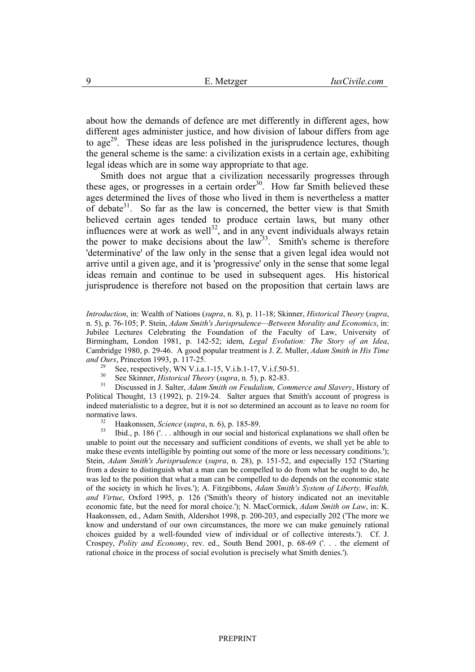about how the demands of defence are met differently in different ages, how different ages administer justice, and how division of labour differs from age to age<sup>29</sup>. These ideas are less polished in the jurisprudence lectures, though the general scheme is the same: a civilization exists in a certain age, exhibiting legal ideas which are in some way appropriate to that age.

Smith does not argue that a civilization necessarily progresses through these ages, or progresses in a certain order $30$ . How far Smith believed these ages determined the lives of those who lived in them is nevertheless a matter of debate<sup>31</sup>. So far as the law is concerned, the better view is that Smith believed certain ages tended to produce certain laws, but many other influences were at work as well<sup>32</sup>, and in any event individuals always retain the power to make decisions about the law<sup>33</sup>. Smith's scheme is therefore 'determinative' of the law only in the sense that a given legal idea would not arrive until a given age, and it is 'progressive' only in the sense that some legal ideas remain and continue to be used in subsequent ages. His historical jurisprudence is therefore not based on the proposition that certain laws are

*Introduction*, in: Wealth of Nations (*supra*, n. 8), p. 11-18; Skinner, *Historical Theory* (*supra*, n. 5), p. 76-105; P. Stein, *Adam Smith's Jurisprudence—Between Morality and Economics*, in: Jubilee Lectures Celebrating the Foundation of the Faculty of Law, University of Birmingham, London 1981, p. 142-52; idem, *Legal Evolution: The Story of an Idea*, Cambridge 1980, p. 29-46. A good popular treatment is J. Z. Muller, *Adam Smith in His Time*  and Ours, Princeton 1993, p. 117-25.<br>
<sup>29</sup> See, respectively, WN V.i.a.1-15, V.i.b.1-17, V.i.f.50-51.<br>
<sup>30</sup> See Skinner, *Historical Theory (supra, n. 5), p.* 82-83.<br>
<sup>31</sup> Discussed in J. Salter, *Adam Smith on Feudalism,* 

<span id="page-9-0"></span>

<span id="page-9-2"></span><span id="page-9-1"></span>

Political Thought, 13 (1992), p. 219-24. Salter argues that Smith's account of progress is indeed materialistic to a degree, but it is not so determined an account as to leave no room for normative laws.<br><sup>32</sup> Haakonssen, *Science* (*supra*, n. 6), p. 185-89.<br><sup>33</sup> Ibid., p. 186 ('... although in our social and historical explanations we shall often be

<span id="page-9-4"></span><span id="page-9-3"></span>

unable to point out the necessary and sufficient conditions of events, we shall yet be able to make these events intelligible by pointing out some of the more or less necessary conditions.'); Stein, *Adam Smith's Jurisprudence* (*supra*, n. 28), p. 151-52, and especially 152 ('Starting from a desire to distinguish what a man can be compelled to do from what he ought to do, he was led to the position that what a man can be compelled to do depends on the economic state of the society in which he lives.'); A. Fitzgibbons, *Adam Smith's System of Liberty, Wealth, and Virtue*, Oxford 1995, p. 126 ('Smith's theory of history indicated not an inevitable economic fate, but the need for moral choice.'); N. MacCormick, *Adam Smith on Law*, in: K. Haakonssen, ed., Adam Smith, Aldershot 1998, p. 200-203, and especially 202 ('The more we know and understand of our own circumstances, the more we can make genuinely rational choices guided by a well-founded view of individual or of collective interests.'). Cf. J. Crospey, *Polity and Economy*, rev. ed., South Bend 2001, p. 68-69 ('. . . the element of rational choice in the process of social evolution is precisely what Smith denies.').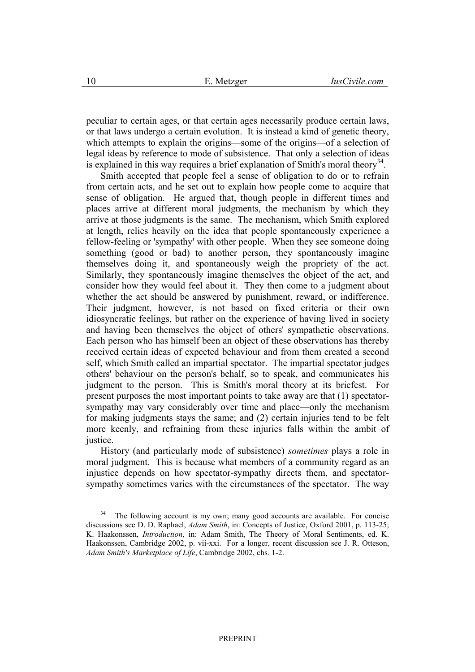peculiar to certain ages, or that certain ages necessarily produce certain laws, or that laws undergo a certain evolution. It is instead a kind of genetic theory, which attempts to explain the origins—some of the origins—of a selection of legal ideas by reference to mode of subsistence. That only a selection of ideas is explained in this way requires a brief explanation of Smith's moral theory<sup>34</sup>.

Smith accepted that people feel a sense of obligation to do or to refrain from certain acts, and he set out to explain how people come to acquire that sense of obligation. He argued that, though people in different times and places arrive at different moral judgments, the mechanism by which they arrive at those judgments is the same. The mechanism, which Smith explored at length, relies heavily on the idea that people spontaneously experience a fellow-feeling or 'sympathy' with other people. When they see someone doing something (good or bad) to another person, they spontaneously imagine themselves doing it, and spontaneously weigh the propriety of the act. Similarly, they spontaneously imagine themselves the object of the act, and consider how they would feel about it. They then come to a judgment about whether the act should be answered by punishment, reward, or indifference. Their judgment, however, is not based on fixed criteria or their own idiosyncratic feelings, but rather on the experience of having lived in society and having been themselves the object of others' sympathetic observations. Each person who has himself been an object of these observations has thereby received certain ideas of expected behaviour and from them created a second self, which Smith called an impartial spectator. The impartial spectator judges others' behaviour on the person's behalf, so to speak, and communicates his judgment to the person. This is Smith's moral theory at its briefest. For present purposes the most important points to take away are that (1) spectatorsympathy may vary considerably over time and place—only the mechanism for making judgments stays the same; and (2) certain injuries tend to be felt more keenly, and refraining from these injuries falls within the ambit of justice.

History (and particularly mode of subsistence) *sometimes* plays a role in moral judgment. This is because what members of a community regard as an injustice depends on how spectator-sympathy directs them, and spectatorsympathy sometimes varies with the circumstances of the spectator. The way

<span id="page-10-0"></span>The following account is my own; many good accounts are available. For concise discussions see D. D. Raphael, *Adam Smith*, in: Concepts of Justice, Oxford 2001, p. 113-25; K. Haakonssen, *Introduction*, in: Adam Smith, The Theory of Moral Sentiments, ed. K. Haakonssen, Cambridge 2002, p. vii-xxi. For a longer, recent discussion see J. R. Otteson, *Adam Smith's Marketplace of Life*, Cambridge 2002, chs. 1-2.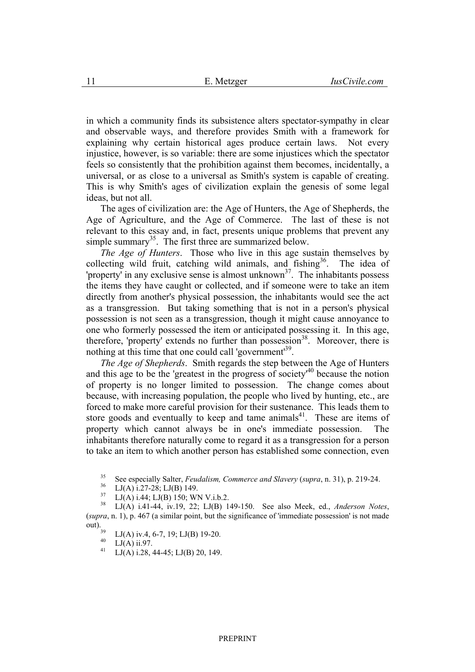in which a community finds its subsistence alters spectator-sympathy in clear and observable ways, and therefore provides Smith with a framework for explaining why certain historical ages produce certain laws. Not every injustice, however, is so variable: there are some injustices which the spectator feels so consistently that the prohibition against them becomes, incidentally, a universal, or as close to a universal as Smith's system is capable of creating. This is why Smith's ages of civilization explain the genesis of some legal ideas, but not all.

The ages of civilization are: the Age of Hunters, the Age of Shepherds, the Age of Agriculture, and the Age of Commerce. The last of these is not relevant to this essay and, in fact, presents unique problems that prevent any simple summary<sup>35</sup>. The first three are summarized below.

*The Age of Hunters*. Those who live in this age sustain themselves by collecting wild fruit, catching wild animals, and fishing<sup>36</sup>. The idea of 'property' in any exclusive sense is almost unknown<sup>37</sup>. The inhabitants possess the items they have caught or collected, and if someone were to take an item directly from another's physical possession, the inhabitants would see the act as a transgression. But taking something that is not in a person's physical possession is not seen as a transgression, though it might cause annoyance to one who formerly possessed the item or anticipated possessing it. In this age, therefore, 'property' extends no further than possession<sup>38</sup>. Moreover, there is nothing at this time that one could call 'government<sup>139</sup>.

*The Age of Shepherds*. Smith regards the step between the Age of Hunters and this age to be the 'greatest in the progress of society'[40 b](#page-11-5)ecause the notion of property is no longer limited to possession. The change comes about because, with increasing population, the people who lived by hunting, etc., are forced to make more careful provision for their sustenance. This leads them to store goods and eventually to keep and tame animals $4<sup>41</sup>$ . These are items of property which cannot always be in one's immediate possession. The inhabitants therefore naturally come to regard it as a transgression for a person to take an item to which another person has established some connection, even

<span id="page-11-0"></span><sup>35</sup> See especially Salter, *Feudalism*, *Commerce and Slavery* (*supra*, n. 31), p. 219-24.<br>
<sup>36</sup> LJ(A) i.27-28; LJ(B) 149.<br>
<sup>37</sup> LJ(A) i.44; LJ(B) 150; WN V.i.b.2.<br>
<sup>38</sup> LJ(A) i.41-44, iv.19, 22; LJ(B) 149-150. See also

<span id="page-11-1"></span>

<span id="page-11-3"></span><span id="page-11-2"></span>

(*supra*, n. 1), p. 467 (a similar point, but the significance of 'immediate possession' is not made out).  $39$ 

<span id="page-11-4"></span><sup>39</sup> LJ(A) iv.4, 6-7, 19; LJ(B) 19-20.<br><sup>40</sup> LJ(A) ii.97.<br><sup>41</sup> LJ(A) i.28, 44-45; LJ(B) 20, 149.

<span id="page-11-5"></span>

<span id="page-11-6"></span>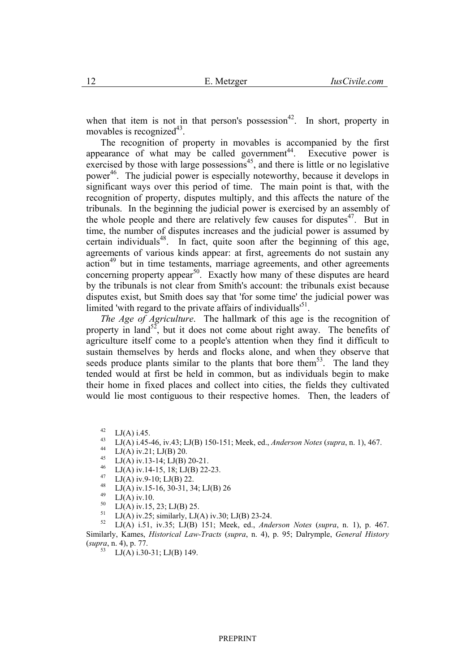when that item is not in that person's possession<sup>42</sup>. In short, property in movables is recognized $43$ .

The recognition of property in movables is accompanied by the first appearance of what may be called government<sup>44</sup>. Executive power is exercised by those with large possessions $45$ , and there is little or no legislative power<sup>46</sup>. The judicial power is especially noteworthy, because it develops in significant ways over this period of time. The main point is that, with the recognition of property, disputes multiply, and this affects the nature of the tribunals. In the beginning the judicial power is exercised by an assembly of the whole people and there are relatively few causes for disputes<sup>47</sup>. But in time, the number of disputes increases and the judicial power is assumed by certain individuals<sup>48</sup>. In fact, quite soon after the beginning of this age, agreements of various kinds appear: at first, agreements do not sustain any  $\arctan^{49}$  but in time testaments, marriage agreements, and other agreements concerning property appear<sup>50</sup>. Exactly how many of these disputes are heard by the tribunals is not clear from Smith's account: the tribunals exist because disputes exist, but Smith does say that 'for some time' the judicial power was limited 'with regard to the private affairs of individualls<sup>'51</sup>.

*The Age of Agriculture*. The hallmark of this age is the recognition of property in land<sup>52</sup>, but it does not come about right away. The benefits of agriculture itself come to a people's attention when they find it difficult to sustain themselves by herds and flocks alone, and when they observe that seeds produce plants similar to the plants that bore them<sup>53</sup>. The land they tended would at first be held in common, but as individuals begin to make their home in fixed places and collect into cities, the fields they cultivated would lie most contiguous to their respective homes. Then, the leaders of

- <span id="page-12-1"></span><span id="page-12-0"></span>
- <sup>42</sup> LJ(A) i.45.<br>
<sup>43</sup> LJ(A) i.45-46, iv.43; LJ(B) 150-151; Meek, ed., *Anderson Notes* (*supra*, n. 1), 467.<br>
<sup>44</sup> LJ(A) iv.13-14; LJ(B) 20-21.<br>
<sup>45</sup> LJ(A) iv.13-14; LJ(B) 20-21.<br>
<sup>46</sup> LJ(A) iv.14-15, 18; LJ(B) 22-23.<br>
<sup></sup>
- <span id="page-12-2"></span>
- <span id="page-12-3"></span>
- <span id="page-12-4"></span>
- <span id="page-12-5"></span>
- <span id="page-12-6"></span>
- <span id="page-12-7"></span>
- <span id="page-12-8"></span>
- <span id="page-12-10"></span><span id="page-12-9"></span>

Similarly, Kames, *Historical Law-Tracts* (*supra*, n. 4), p. 95; Dalrymple, *General History* (*supra*, n. 4), p. 77.<br>  $LI(A)$  i.30-31; LJ(B) 149.

<span id="page-12-11"></span>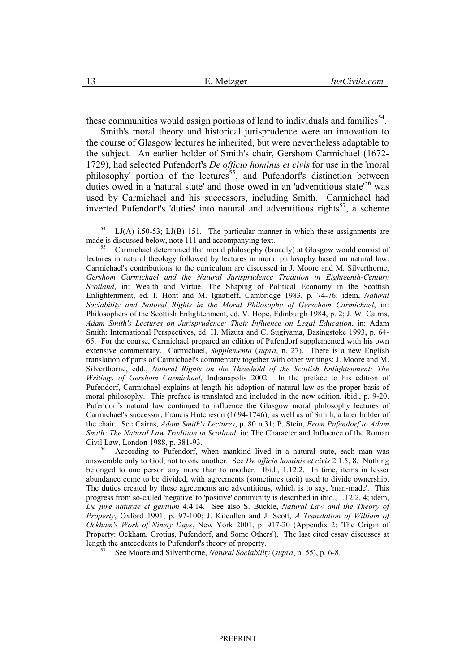these communities would assign portions of land to individuals and families<sup>54</sup>.

Smith's moral theory and historical jurisprudence were an innovation to the course of Glasgow lectures he inherited, but were nevertheless adaptable to the subject. An earlier holder of Smith's chair, Gershom Carmichael (1672- 1729), had selected Pufendorf's *De officio hominis et civis* for use in the 'moral philosophy' portion of the lectures<sup>55</sup>, and Pufendorf's distinction between duties owed in a 'natural state' and those owed in an 'adventitious state<sup>56</sup> was used by Carmichael and his successors, including Smith. Carmichael had inverted Pufendorf's 'duties' into natural and adventitious rights<sup>57</sup>, a scheme

<span id="page-13-0"></span> $LJ(A)$  i.50-53;  $LJ(B)$  151. The particular manner in which these assignments are made is discussed below, note 111 and accompanying text.<br><sup>55</sup> Carmichael determined that moral philosophy (broadly) at Glasgow would consist of

<span id="page-13-1"></span>lectures in natural theology followed by lectures in moral philosophy based on natural law. Carmichael's contributions to the curriculum are discussed in J. Moore and M. Silverthorne, *Gershom Carmichael and the Natural Jurisprudence Tradition in Eighteenth-Century Scotland*, in: Wealth and Virtue. The Shaping of Political Economy in the Scottish Enlightenment, ed. I. Hont and M. Ignatieff, Cambridge 1983, p. 74-76; idem, *Natural Sociability and Natural Rights in the Moral Philosophy of Gerschom Carmichael*, in: Philosophers of the Scottish Enlightenment, ed. V. Hope, Edinburgh 1984, p. 2; J. W. Cairns, *Adam Smith's Lectures on Jurisprudence: Their Influence on Legal Education*, in: Adam Smith: International Perspectives, ed. H. Mizuta and C. Sugiyama, Basingstoke 1993, p. 64- 65. For the course, Carmichael prepared an edition of Pufendorf supplemented with his own extensive commentary. Carmichael, *Supplementa* (*supra*, n. 27). There is a new English translation of parts of Carmichael's commentary together with other writings: J. Moore and M. Silverthorne, edd., *Natural Rights on the Threshold of the Scottish Enlightenment: The Writings of Gershom Carmichael*, Indianapolis 2002. In the preface to his edition of Pufendorf, Carmichael explains at length his adoption of natural law as the proper basis of moral philosophy. This preface is translated and included in the new edition, ibid., p. 9-20. Pufendorf's natural law continued to influence the Glasgow moral philosophy lectures of Carmichael's successor, Francis Hutcheson (1694-1746), as well as of Smith, a later holder of the chair. See Cairns, *Adam Smith's Lectures*, p. 80 n.31; P. Stein, *From Pufendorf to Adam Smith: The Natural Law Tradition in Scotland*, in: The Character and Influence of the Roman Civil Law, London 1988, p. 381-93.

<span id="page-13-2"></span><sup>56</sup> According to Pufendorf, when mankind lived in a natural state, each man was answerable only to God, not to one another. See *De officio hominis et civis* 2.1.5, 8. Nothing belonged to one person any more than to another. Ibid., 1.12.2. In time, items in lesser abundance come to be divided, with agreements (sometimes tacit) used to divide ownership. The duties created by these agreements are adventitious, which is to say, 'man-made'. This progress from so-called 'negative' to 'positive' community is described in ibid., 1.12.2, 4; idem, *De jure naturae et gentium* 4.4.14. See also S. Buckle, *Natural Law and the Theory of Property*, Oxford 1991, p. 97-100; J. Kilcullen and J. Scott, *A Translation of William of Ockham's Work of Ninety Days*, New York 2001, p. 917-20 (Appendix 2: 'The Origin of Property: Ockham, Grotius, Pufendorf, and Some Others'). The last cited essay discusses at length the antecedents to Pufendorf's theory of property.<br><sup>57</sup> See Moore and Silverthorne, *Natural Sociability* (*supra*, n. 55), p. 6-8.

<span id="page-13-3"></span>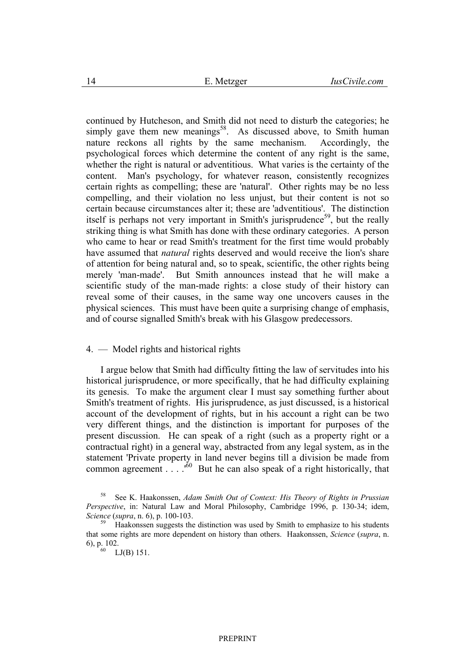continued by Hutcheson, and Smith did not need to disturb the categories; he simply gave them new meanings<sup>58</sup>. As discussed above, to Smith human nature reckons all rights by the same mechanism. Accordingly, the psychological forces which determine the content of any right is the same, whether the right is natural or adventitious. What varies is the certainty of the content. Man's psychology, for whatever reason, consistently recognizes certain rights as compelling; these are 'natural'. Other rights may be no less compelling, and their violation no less unjust, but their content is not so certain because circumstances alter it; these are 'adventitious'. The distinction itself is perhaps not very important in Smith's jurisprudence<sup>59</sup>, but the really striking thing is what Smith has done with these ordinary categories. A person who came to hear or read Smith's treatment for the first time would probably have assumed that *natural* rights deserved and would receive the lion's share of attention for being natural and, so to speak, scientific, the other rights being merely 'man-made'. But Smith announces instead that he will make a scientific study of the man-made rights: a close study of their history can reveal some of their causes, in the same way one uncovers causes in the physical sciences. This must have been quite a surprising change of emphasis, and of course signalled Smith's break with his Glasgow predecessors.

#### 4. — Model rights and historical rights

I argue below that Smith had difficulty fitting the law of servitudes into his historical jurisprudence, or more specifically, that he had difficulty explaining its genesis. To make the argument clear I must say something further about Smith's treatment of rights. His jurisprudence, as just discussed, is a historical account of the development of rights, but in his account a right can be two very different things, and the distinction is important for purposes of the present discussion. He can speak of a right (such as a property right or a contractual right) in a general way, abstracted from any legal system, as in the statement 'Private property in land never begins till a division be made from common agreement  $\cdots$  .<sup>60</sup> But he can also speak of a right historically, that

<span id="page-14-2"></span>

<span id="page-14-0"></span><sup>58</sup> See K. Haakonssen, *Adam Smith Out of Context: His Theory of Rights in Prussian Perspective*, in: Natural Law and Moral Philosophy, Cambridge 1996, p. 130-34; idem, *Science* (*supra*, n. 6), p. 100-103.<br><sup>59</sup> Haakonssen suggests the distinction was used by Smith to emphasize to his students

<span id="page-14-1"></span>that some rights are more dependent on history than others. Haakonssen, *Science* (*supra*, n. 6), p. 102.<br> $LJ(B)$  151.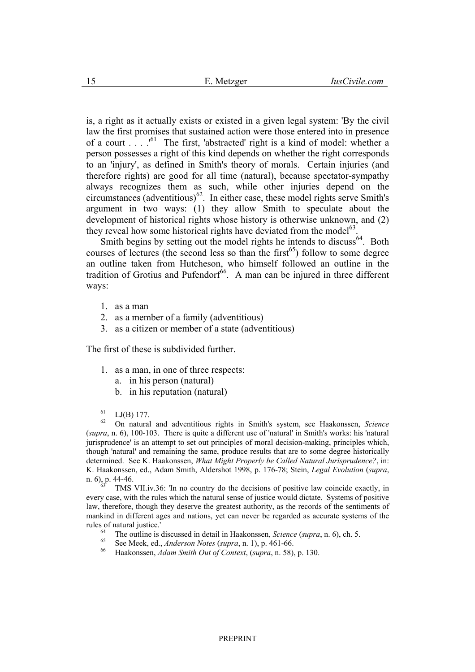is, a right as it actually exists or existed in a given legal system: 'By the civil law the first promises that sustained action were those entered into in presence of a court  $\dots$ .  $\cdot$ <sup>61</sup> The first, 'abstracted' right is a kind of model: whether a person possesses a right of this kind depends on whether the right corresponds to an 'injury', as defined in Smith's theory of morals. Certain injuries (and therefore rights) are good for all time (natural), because spectator-sympathy always recognizes them as such, while other injuries depend on the circumstances (adventitious) $62$ . In either case, these model rights serve Smith's argument in two ways: (1) they allow Smith to speculate about the development of historical rights whose history is otherwise unknown, and (2) they reveal how some historical rights have deviated from the model $^{63}$ .

Smith begins by setting out the model rights he intends to discuss<sup>64</sup>. Both courses of lectures (the second less so than the first<sup> $(5)$ </sup>) follow to some degree an outline taken from Hutcheson, who himself followed an outline in the tradition of Grotius and Pufendorf $^{66}$ . A man can be injured in three different ways:

- 1. as a man
- 2. as a member of a family (adventitious)
- 3. as a citizen or member of a state (adventitious)

The first of these is subdivided further.

- 1. as a man, in one of three respects:
	- a. in his person (natural)
	- b. in his reputation (natural)
- <span id="page-15-1"></span><span id="page-15-0"></span>

61 LJ(B) 177. 62 On natural and adventitious rights in Smith's system, see Haakonssen, *Science* (*supra*, n. 6), 100-103. There is quite a different use of 'natural' in Smith's works: his 'natural jurisprudence' is an attempt to set out principles of moral decision-making, principles which, though 'natural' and remaining the same, produce results that are to some degree historically determined. See K. Haakonssen, *What Might Properly be Called Natural Jurisprudence?*, in: K. Haakonssen, ed., Adam Smith, Aldershot 1998, p. 176-78; Stein, *Legal Evolution* (*supra*, n. 6), p. 44-46.<br><sup>63</sup> TMS VII.iv.36: 'In no country do the decisions of positive law coincide exactly, in

<span id="page-15-2"></span>every case, with the rules which the natural sense of justice would dictate. Systems of positive law, therefore, though they deserve the greatest authority, as the records of the sentiments of mankind in different ages and nations, yet can never be regarded as accurate systems of the rules of natural justice.<br>
<sup>64</sup> The outline is discussed in detail in Haakonssen, *Science* (*supra*, n. 6), ch. 5.<br>
<sup>65</sup> See Meek, ed., *Anderson Notes* (*supra*, n. 1), p. 461-66.<br>
<sup>66</sup> Haakonssen, *Adam Smith Out of Con* 

- <span id="page-15-3"></span>
- <span id="page-15-4"></span>
- <span id="page-15-5"></span>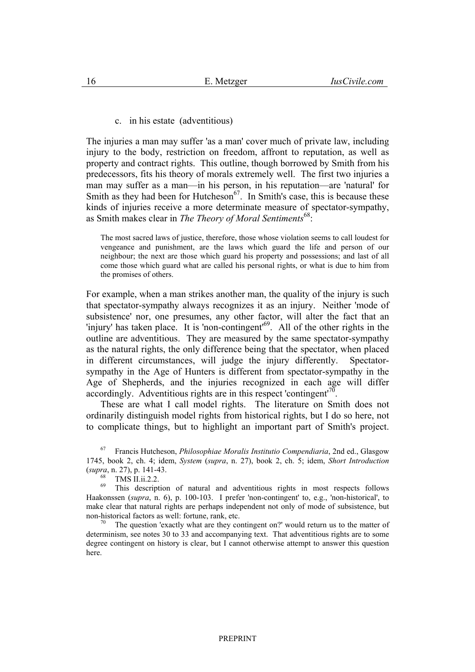# c. in his estate (adventitious)

The injuries a man may suffer 'as a man' cover much of private law, including injury to the body, restriction on freedom, affront to reputation, as well as property and contract rights. This outline, though borrowed by Smith from his predecessors, fits his theory of morals extremely well. The first two injuries a man may suffer as a man—in his person, in his reputation—are 'natural' for Smith as they had been for Hutcheson<sup>67</sup>. In Smith's case, this is because these kinds of injuries receive a more determinate measure of spectator-sympathy, as Smith makes clear in *The Theory of Moral Sentiments*<sup>68</sup>:

The most sacred laws of justice, therefore, those whose violation seems to call loudest for vengeance and punishment, are the laws which guard the life and person of our neighbour; the next are those which guard his property and possessions; and last of all come those which guard what are called his personal rights, or what is due to him from the promises of others.

For example, when a man strikes another man, the quality of the injury is such that spectator-sympathy always recognizes it as an injury. Neither 'mode of subsistence' nor, one presumes, any other factor, will alter the fact that an 'injury' has taken place. It is 'non-contingent'[69.](#page-16-2) All of the other rights in the outline are adventitious. They are measured by the same spectator-sympathy as the natural rights, the only difference being that the spectator, when placed in different circumstances, will judge the injury differently. Spectatorsympathy in the Age of Hunters is different from spectator-sympathy in the Age of Shepherds, and the injuries recognized in each age will differ accordingly. Adventitious rights are in this respect 'contingent'<sup>70</sup>.

These are what I call model rights. The literature on Smith does not ordinarily distinguish model rights from historical rights, but I do so here, not to complicate things, but to highlight an important part of Smith's project.

<span id="page-16-0"></span>67 Francis Hutcheson, *Philosophiae Moralis Institutio Compendiaria*, 2nd ed., Glasgow 1745, book 2, ch. 4; idem, *System* (*supra*, n. 27), book 2, ch. 5; idem, *Short Introduction* (*supra*, n. 27), p. 141-43.<br><sup>68</sup> TMS II.ii.2.2.<br><sup>69</sup> This description of natural and adventitious rights in most respects follows

<span id="page-16-2"></span><span id="page-16-1"></span>

Haakonssen (*supra*, n. 6), p. 100-103. I prefer 'non-contingent' to, e.g., 'non-historical', to make clear that natural rights are perhaps independent not only of mode of subsistence, but non-historical factors as well: fortune, rank, etc.<br>
<sup>70</sup> The question 'exactly what are they contingent on?' would return us to the matter of

<span id="page-16-3"></span>determinism, see notes 30 to 33 and accompanying text. That adventitious rights are to some degree contingent on history is clear, but I cannot otherwise attempt to answer this question here.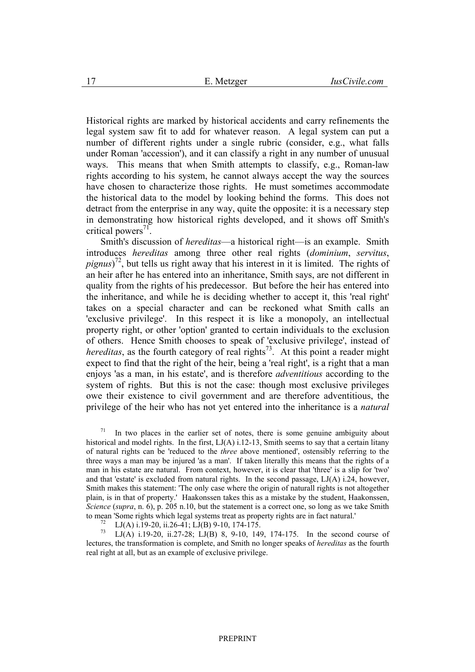Historical rights are marked by historical accidents and carry refinements the legal system saw fit to add for whatever reason. A legal system can put a number of different rights under a single rubric (consider, e.g., what falls under Roman 'accession'), and it can classify a right in any number of unusual ways. This means that when Smith attempts to classify, e.g., Roman-law rights according to his system, he cannot always accept the way the sources have chosen to characterize those rights. He must sometimes accommodate the historical data to the model by looking behind the forms. This does not detract from the enterprise in any way, quite the opposite: it is a necessary step in demonstrating how historical rights developed, and it shows off Smith's critical powers $\frac{1}{1}$ .

Smith's discussion of *hereditas*—a historical right—is an example. Smith introduces *hereditas* among three other real rights (*dominium*, *servitus*, *pignus*) [72,](#page-17-1) but tells us right away that his interest in it is limited. The rights of an heir after he has entered into an inheritance, Smith says, are not different in quality from the rights of his predecessor. But before the heir has entered into the inheritance, and while he is deciding whether to accept it, this 'real right' takes on a special character and can be reckoned what Smith calls an 'exclusive privilege'. In this respect it is like a monopoly, an intellectual property right, or other 'option' granted to certain individuals to the exclusion of others. Hence Smith chooses to speak of 'exclusive privilege', instead of *hereditas*, as the fourth category of real rights<sup>73</sup>. At this point a reader might expect to find that the right of the heir, being a 'real right', is a right that a man enjoys 'as a man, in his estate', and is therefore *adventitious* according to the system of rights. But this is not the case: though most exclusive privileges owe their existence to civil government and are therefore adventitious, the privilege of the heir who has not yet entered into the inheritance is a *natural*

<span id="page-17-0"></span>In two places in the earlier set of notes, there is some genuine ambiguity about historical and model rights. In the first,  $LJ(A)$  i.12-13, Smith seems to say that a certain litany of natural rights can be 'reduced to the *three* above mentioned', ostensibly referring to the three ways a man may be injured 'as a man'. If taken literally this means that the rights of a man in his estate are natural. From context, however, it is clear that 'three' is a slip for 'two' and that 'estate' is excluded from natural rights. In the second passage, LJ(A) i.24, however, Smith makes this statement: 'The only case where the origin of naturall rights is not altogether plain, is in that of property.' Haakonssen takes this as a mistake by the student, Haakonssen, *Science* (*supra*, n. 6), p. 205 n.10, but the statement is a correct one, so long as we take Smith to mean 'Some rights which legal systems treat as property rights are in fact natural.'<br><sup>72</sup> LJ(A) i.19-20, ii.26-41; LJ(B) 9-10, 174-175. In the second course of<br><sup>73</sup> LJ(A) i.19-20, ii.27-28; LJ(B) 8, 9-10, 149, 174-175.

<span id="page-17-2"></span><span id="page-17-1"></span>

lectures, the transformation is complete, and Smith no longer speaks of *hereditas* as the fourth real right at all, but as an example of exclusive privilege.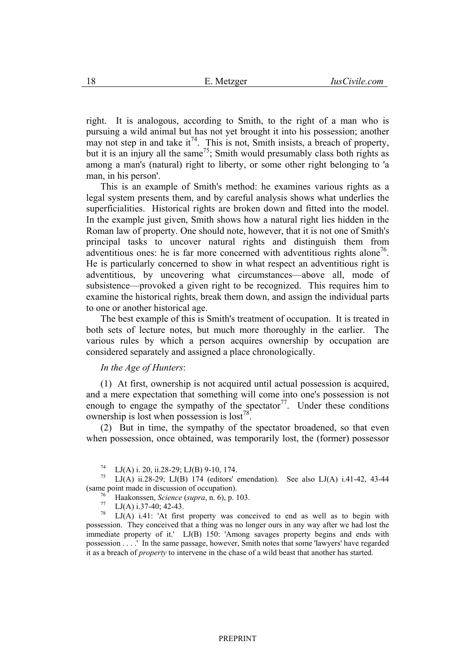right. It is analogous, according to Smith, to the right of a man who is pursuing a wild animal but has not yet brought it into his possession; another may not step in and take it<sup>74</sup>. This is not, Smith insists, a breach of property, but it is an injury all the same<sup>75</sup>; Smith would presumably class both rights as among a man's (natural) right to liberty, or some other right belonging to 'a man, in his person'.

This is an example of Smith's method: he examines various rights as a legal system presents them, and by careful analysis shows what underlies the superficialities. Historical rights are broken down and fitted into the model. In the example just given, Smith shows how a natural right lies hidden in the Roman law of property. One should note, however, that it is not one of Smith's principal tasks to uncover natural rights and distinguish them from adventitious ones: he is far more concerned with adventitious rights alone<sup>76</sup>. He is particularly concerned to show in what respect an adventitious right is adventitious, by uncovering what circumstances—above all, mode of subsistence—provoked a given right to be recognized. This requires him to examine the historical rights, break them down, and assign the individual parts to one or another historical age.

The best example of this is Smith's treatment of occupation. It is treated in both sets of lecture notes, but much more thoroughly in the earlier. The various rules by which a person acquires ownership by occupation are considered separately and assigned a place chronologically.

## *In the Age of Hunters*:

(1) At first, ownership is not acquired until actual possession is acquired, and a mere expectation that something will come into one's possession is not enough to engage the sympathy of the spectator<sup>77</sup>. Under these conditions ownership is lost when possession is  $\text{lost}^{78}$ .

(2) But in time, the sympathy of the spectator broadened, so that even when possession, once obtained, was temporarily lost, the (former) possessor

- <span id="page-18-2"></span>
- <span id="page-18-4"></span><span id="page-18-3"></span>

possession. They conceived that a thing was no longer ours in any way after we had lost the immediate property of it.' LJ(B) 150: 'Among savages property begins and ends with possession . . . .' In the same passage, however, Smith notes that some 'lawyers' have regarded it as a breach of *property* to intervene in the chase of a wild beast that another has started.

<span id="page-18-1"></span><span id="page-18-0"></span>

<sup>&</sup>lt;sup>74</sup> LJ(A) i. 20, ii.28-29; LJ(B) 9-10, 174.<br><sup>75</sup> LJ(A) ii.28-29; LJ(B) 174 (editors' emendation). See also LJ(A) i.41-42, 43-44 (same point made in discussion of occupation).<br>
<sup>76</sup> Haakonssen, *Science* (*supra*, n. 6), p. 103.<br>
<sup>77</sup> LJ(A) i.37-40; 42-43.<br>
<sup>78</sup> LJ(A) i.41: 'At first property was conceived to end as well as to begin with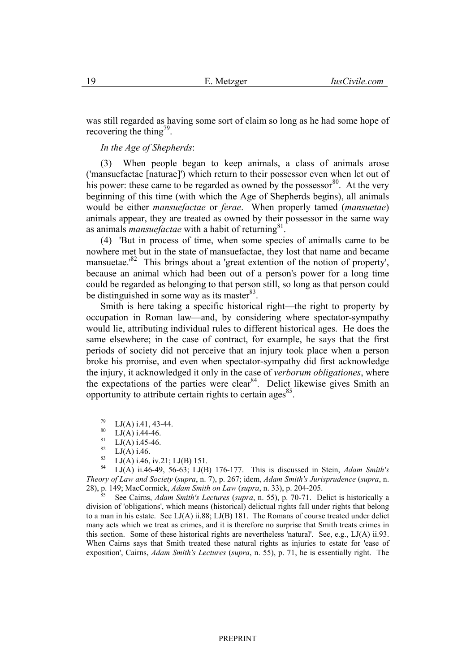<span id="page-19-6"></span>was still regarded as having some sort of claim so long as he had some hope of recovering the thing<sup>79</sup>.

*In the Age of Shepherds*:

When people began to keep animals, a class of animals arose ('mansuefactae [naturae]') which return to their possessor even when let out of his power: these came to be regarded as owned by the possessor $80$ . At the very beginning of this time (with which the Age of Shepherds begins), all animals would be either *mansuefactae* or *ferae*. When properly tamed (*mansuetae*) animals appear, they are treated as owned by their possessor in the same way as animals *mansuefactae* with a habit of returning<sup>81</sup>.

(4) 'But in process of time, when some species of animalls came to be nowhere met but in the state of mansuefactae, they lost that name and became mansuetae.<sup>82</sup> This brings about a 'great extention of the notion of property', because an animal which had been out of a person's power for a long time could be regarded as belonging to that person still, so long as that person could be distinguished in some way as its master  $83$ .

Smith is here taking a specific historical right—the right to property by occupation in Roman law—and, by considering where spectator-sympathy would lie, attributing individual rules to different historical ages. He does the same elsewhere; in the case of contract, for example, he says that the first periods of society did not perceive that an injury took place when a person broke his promise, and even when spectator-sympathy did first acknowledge the injury, it acknowledged it only in the case of *verborum obligationes*, where the expectations of the parties were clear<sup>84</sup>. Delict likewise gives Smith an opportunity to attribute certain rights to certain ages<sup>85</sup>.

- <span id="page-19-0"></span>
- <span id="page-19-1"></span>
- <span id="page-19-2"></span>
- <span id="page-19-3"></span>
- <span id="page-19-5"></span><span id="page-19-4"></span>

79 LJ(A) i.41, 43-44.<br>
<sup>80</sup> LJ(A) i.44-46.<br>
<sup>81</sup> LJ(A) i.45-46.<br>
<sup>82</sup> LJ(A) i.46, iv.21; LJ(B) 151.<br>
<sup>84</sup> LJ(A) ii.46-49, 56-63; LJ(B) 176-177. This is discussed in Stein, *Adam Smith's Theory of Law and Society* (*supra*, n. 7), p. 267; idem, *Adam Smith's Jurisprudence* (*supra*, n. 28), p. 149; MacCormick, *Adam Smith on Law* (*supra*, n. 33), p. 204-205.<br><sup>85</sup> See Cairns, *Adam Smith's Lectures* (*supra*, n. 55), p. 70-71. Delict is historically a

division of 'obligations', which means (historical) delictual rights fall under rights that belong to a man in his estate. See LJ(A) ii.88; LJ(B) 181. The Romans of course treated under delict many acts which we treat as crimes, and it is therefore no surprise that Smith treats crimes in this section. Some of these historical rights are nevertheless 'natural'. See, e.g., LJ(A) ii.93. When Cairns says that Smith treated these natural rights as injuries to estate for 'ease of exposition', Cairns, *Adam Smith's Lectures* (*supra*, n. 55), p. 71, he is essentially right. The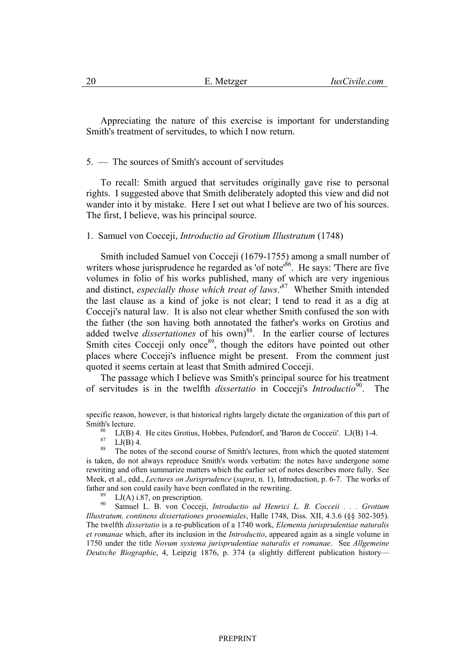<span id="page-20-4"></span>Appreciating the nature of this exercise is important for understanding Smith's treatment of servitudes, to which I now return.

#### 5. — The sources of Smith's account of servitudes

To recall: Smith argued that servitudes originally gave rise to personal rights. I suggested above that Smith deliberately adopted this view and did not wander into it by mistake. Here I set out what I believe are two of his sources. The first, I believe, was his principal source.

## 1. Samuel von Cocceji, *Introductio ad Grotium Illustratum* (1748)

Smith included Samuel von Cocceji (1679-1755) among a small number of writers whose jurisprudence he regarded as 'of note<sup>86</sup>. He says: 'There are five volumes in folio of his works published, many of which are very ingenious and distinct, *especially those which treat of laws*.'[87](#page-20-1) Whether Smith intended the last clause as a kind of joke is not clear; I tend to read it as a dig at Cocceji's natural law. It is also not clear whether Smith confused the son with the father (the son having both annotated the father's works on Grotius and added twelve *dissertationes* of his own)<sup>88</sup>. In the earlier course of lectures Smith cites Cocceji only once<sup>89</sup>, though the editors have pointed out other places where Cocceji's influence might be present. From the comment just quoted it seems certain at least that Smith admired Cocceji.

The passage which I believe was Smith's principal source for his treatment of servitudes is in the twelfth *dissertatio* in Cocceji's *Introductio*<sup>90</sup>. The

specific reason, however, is that historical rights largely dictate the organization of this part of Smith's lecture.<br><sup>86</sup> LJ(B) 4. He cites Grotius, Hobbes, Pufendorf, and 'Baron de Cocceii'. LJ(B) 1-4.<br><sup>87</sup> LJ(B) 4.<br><sup>88</sup> The notes of the second course of Smith's lectures, from which the quoted statement

<span id="page-20-0"></span>

<span id="page-20-2"></span><span id="page-20-1"></span>

is taken, do not always reproduce Smith's words verbatim: the notes have undergone some rewriting and often summarize matters which the earlier set of notes describes more fully. See Meek, et al., edd., *Lectures on Jurisprudence* (*supra*, n. 1), Introduction, p. 6-7. The works of father and son could easily have been conflated in the rewriting.<br><sup>89</sup> LJ(A) i.87, on prescription.<br><sup>90</sup> Samuel L. B. von Cocceji, *Introductio ad Henrici L. B. Cocceii . . . Grotium* 

<span id="page-20-3"></span>

*Illustratum, continens dissertationes prooemiales*, Halle 1748, Diss. XII, 4.3.6 (§§ 302-305). The twelfth *dissertatio* is a re-publication of a 1740 work, *Elementa jurisprudentiae naturalis et romanae* which, after its inclusion in the *Introductio*, appeared again as a single volume in 1750 under the title *Novum systema jurisprudentiae naturalis et romanae*. See *Allgemeine Deutsche Biographie*, 4, Leipzig 1876, p. 374 (a slightly different publication history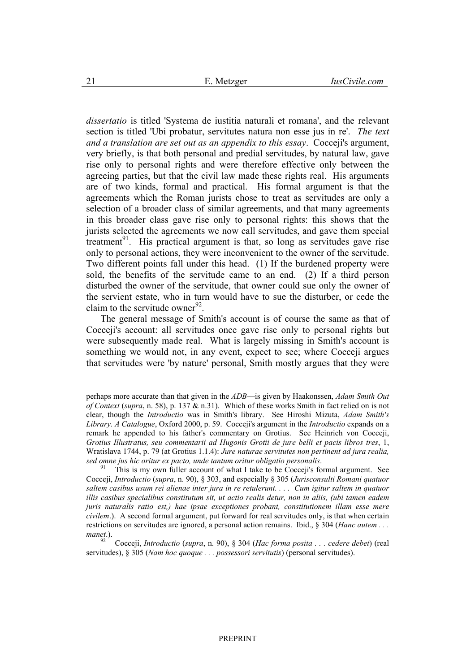*dissertatio* is titled 'Systema de iustitia naturali et romana', and the relevant section is titled 'Ubi probatur, servitutes natura non esse jus in re'. *The text and a translation are set out as an appendix to this essay*. Cocceji's argument, very briefly, is that both personal and predial servitudes, by natural law, gave rise only to personal rights and were therefore effective only between the agreeing parties, but that the civil law made these rights real. His arguments are of two kinds, formal and practical. His formal argument is that the agreements which the Roman jurists chose to treat as servitudes are only a selection of a broader class of similar agreements, and that many agreements in this broader class gave rise only to personal rights: this shows that the jurists selected the agreements we now call servitudes, and gave them special treatment<sup>91</sup>. His practical argument is that, so long as servitudes gave rise only to personal actions, they were inconvenient to the owner of the servitude. Two different points fall under this head. (1) If the burdened property were sold, the benefits of the servitude came to an end. (2) If a third person disturbed the owner of the servitude, that owner could sue only the owner of the servient estate, who in turn would have to sue the disturber, or cede the claim to the servitude owner $92$ .

The general message of Smith's account is of course the same as that of Cocceji's account: all servitudes once gave rise only to personal rights but were subsequently made real. What is largely missing in Smith's account is something we would not, in any event, expect to see; where Cocceji argues that servitudes were 'by nature' personal, Smith mostly argues that they were

perhaps more accurate than that given in the *ADB*—is given by Haakonssen, *Adam Smith Out of Context* (*supra*, n. 58), p. 137 & n.31). Which of these works Smith in fact relied on is not clear, though the *Introductio* was in Smith's library. See Hiroshi Mizuta, *Adam Smith's Library. A Catalogue*, Oxford 2000, p. 59. Cocceji's argument in the *Introductio* expands on a remark he appended to his father's commentary on Grotius. See Heinrich von Cocceji, *Grotius Illustratus, seu commentarii ad Hugonis Grotii de jure belli et pacis libros tres*, 1, Wratislava 1744, p. 79 (at Grotius 1.1.4): *Jure naturae servitutes non pertinent ad jura realia, sed omne jus hic oritur ex pacto, unde tantum oritur obligatio personalis.*<br><sup>91</sup> This is my own fuller account of what I take to be Cocceji's formal argument. See

<span id="page-21-0"></span>Cocceji, *Introductio* (*supra*, n. 90), § 303, and especially § 305 (*Jurisconsulti Romani quatuor saltem casibus usum rei alienae inter jura in re retulerunt. . . . Cum igitur saltem in quatuor illis casibus specialibus constitutum sit, ut actio realis detur, non in aliis, (ubi tamen eadem juris naturalis ratio est,) hae ipsae exceptiones probant, constitutionem illam esse mere civilem*.). A second formal argument, put forward for real servitudes only, is that when certain restrictions on servitudes are ignored, a personal action remains. Ibid., § 304 (*Hanc autem . . . manet*.).

<span id="page-21-1"></span><sup>92</sup> Cocceji, *Introductio* (*supra*, n. 90), § 304 (*Hac forma posita . . . cedere debet*) (real servitudes), § 305 (*Nam hoc quoque . . . possessori servitutis*) (personal servitudes).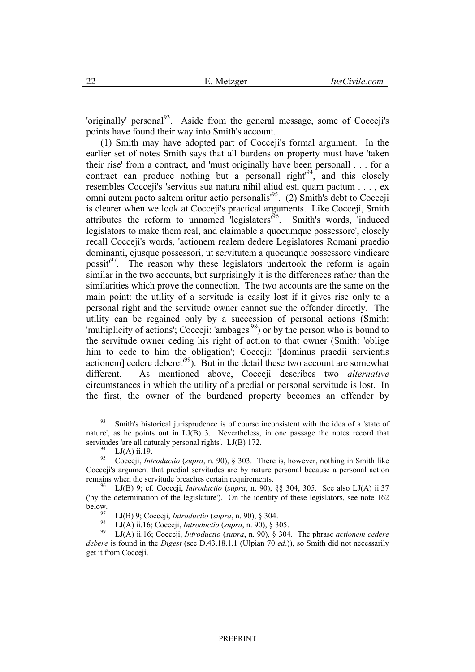'originally' personal<sup>93</sup>. Aside from the general message, some of Cocceji's points have found their way into Smith's account.

(1) Smith may have adopted part of Cocceji's formal argument. In the earlier set of notes Smith says that all burdens on property must have 'taken their rise' from a contract, and 'must originally have been personall . . . for a contract can produce nothing but a personall right<sup> $94$ </sup>, and this closely resembles Cocceji's 'servitus sua natura nihil aliud est, quam pactum . . . , ex omni autem pacto saltem oritur actio personalis'[95.](#page-22-2) (2) Smith's debt to Cocceji is clearer when we look at Cocceji's practical arguments. Like Cocceji, Smith attributes the reform to unnamed  $\text{legislators}^{36}$ . Smith's words, 'induced legislators to make them real, and claimable a quocumque possessore', closely recall Cocceji's words, 'actionem realem dedere Legislatores Romani praedio dominanti, ejusque possessori, ut servitutem a quocunque possessore vindicare possit<sup> $97$ </sup>. The reason why these legislators undertook the reform is again similar in the two accounts, but surprisingly it is the differences rather than the similarities which prove the connection. The two accounts are the same on the main point: the utility of a servitude is easily lost if it gives rise only to a personal right and the servitude owner cannot sue the offender directly. The utility can be regained only by a succession of personal actions (Smith: 'multiplicity of actions'; Cocceji: 'ambages<sup>'98</sup>) or by the person who is bound to the servitude owner ceding his right of action to that owner (Smith: 'oblige him to cede to him the obligation'; Cocceji: '[dominus praedii servientis actionem] cedere deberet<sup> $(99)$  $(99)$ </sup>. But in the detail these two account are somewhat different. As mentioned above, Cocceji describes two *alternative* circumstances in which the utility of a predial or personal servitude is lost. In the first, the owner of the burdened property becomes an offender by

<span id="page-22-0"></span> $93$  Smith's historical jurisprudence is of course inconsistent with the idea of a 'state of nature', as he points out in LJ(B) 3. Nevertheless, in one passage the notes record that servitudes 'are all naturaly personal rights'. LJ(B) 172.<br><sup>94</sup> LJ(A) ii.19.<br><sup>95</sup> Cocceji, *Introductio* (*supra*, n. 90), § 303. There is, however, nothing in Smith like

<span id="page-22-2"></span><span id="page-22-1"></span>

Cocceji's argument that predial servitudes are by nature personal because a personal action

<span id="page-22-3"></span>remains when the servitude breaches certain requirements. 96 LJ(B) 9; cf. Cocceji, *Introductio* (*supra*, n. 90), §§ 304, 305. See also LJ(A) ii.37 ('by the determination of the legislature'). On the identity of these legislators, see note 162 below.

<span id="page-22-4"></span>

<span id="page-22-6"></span><span id="page-22-5"></span>

<sup>97</sup> LJ(B) 9; Cocceji, *Introductio* (supra, n. 90), § 304.<br><sup>98</sup> LJ(A) ii.16; Cocceji, *Introductio* (supra, n. 90), § 305.<br><sup>99</sup> LJ(A) ii.16; Cocceji, *Introductio* (supra, n. 90), § 304. The phrase actionem cedere *debere* is found in the *Digest* (see D.43.18.1.1 (Ulpian 70 *ed*.)), so Smith did not necessarily get it from Cocceji.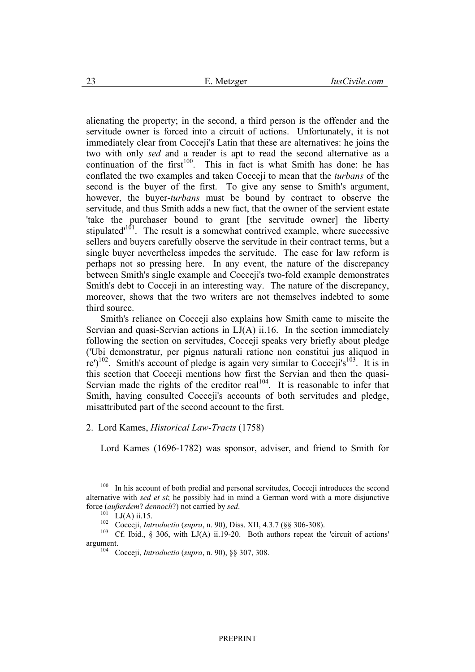alienating the property; in the second, a third person is the offender and the servitude owner is forced into a circuit of actions. Unfortunately, it is not immediately clear from Cocceji's Latin that these are alternatives: he joins the two with only *sed* and a reader is apt to read the second alternative as a continuation of the first $100$ . This in fact is what Smith has done: he has conflated the two examples and taken Cocceji to mean that the *turbans* of the second is the buyer of the first. To give any sense to Smith's argument, however, the buyer-*turbans* must be bound by contract to observe the servitude, and thus Smith adds a new fact, that the owner of the servient estate 'take the purchaser bound to grant [the servitude owner] the liberty stipulated<sup>'101</sup>. The result is a somewhat contrived example, where successive sellers and buyers carefully observe the servitude in their contract terms, but a single buyer nevertheless impedes the servitude. The case for law reform is perhaps not so pressing here. In any event, the nature of the discrepancy between Smith's single example and Cocceji's two-fold example demonstrates Smith's debt to Cocceji in an interesting way. The nature of the discrepancy, moreover, shows that the two writers are not themselves indebted to some third source.

Smith's reliance on Cocceji also explains how Smith came to miscite the Servian and quasi-Servian actions in LJ(A) ii.16. In the section immediately following the section on servitudes, Cocceji speaks very briefly about pledge ('Ubi demonstratur, per pignus naturali ratione non constitui jus aliquod in re')<sup>102</sup>. Smith's account of pledge is again very similar to Cocceji's<sup>103</sup>. It is in this section that Cocceji mentions how first the Servian and then the quasi-Servian made the rights of the creditor real<sup>104</sup>. It is reasonable to infer that Smith, having consulted Cocceji's accounts of both servitudes and pledge, misattributed part of the second account to the first.

#### 2. Lord Kames, *Historical Law-Tracts* (1758)

Lord Kames (1696-1782) was sponsor, adviser, and friend to Smith for

argument. 104 Cocceji, *Introductio* (*supra*, n. 90), §§ 307, 308.

<span id="page-23-0"></span>In his account of both predial and personal servitudes, Cocceji introduces the second alternative with *sed et si*; he possibly had in mind a German word with a more disjunctive force (*außerdem? dennoch?*) not carried by *sed*.<br><sup>101</sup> LJ(A) ii.15.<br><sup>102</sup> Cocceji, *Introductio* (*supra*, n. 90), Diss. XII, 4.3.7 (§§ 306-308).<br><sup>103</sup> Cf. Ibid., § 306, with LJ(A) ii.19-20. Both authors repeat the 'cir

<span id="page-23-1"></span>

<span id="page-23-3"></span><span id="page-23-2"></span>

<span id="page-23-4"></span>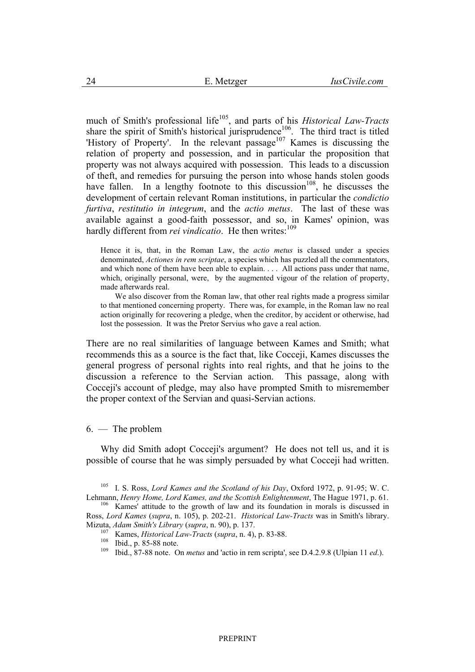much of Smith's professional life<sup>105</sup>, and parts of his *Historical Law-Tracts* share the spirit of Smith's historical jurisprudence<sup>106</sup>. The third tract is titled 'History of Property'. In the relevant passage<sup>107</sup> Kames is discussing the relation of property and possession, and in particular the proposition that property was not always acquired with possession. This leads to a discussion of theft, and remedies for pursuing the person into whose hands stolen goods have fallen. In a lengthy footnote to this discussion<sup>108</sup>, he discusses the development of certain relevant Roman institutions, in particular the *condictio furtiva*, *restitutio in integrum*, and the *actio metus*. The last of these was available against a good-faith possessor, and so, in Kames' opinion, was hardly different from *rei vindicatio*. He then writes:<sup>[109](#page-24-4)</sup>

Hence it is, that, in the Roman Law, the *actio metus* is classed under a species denominated, *Actiones in rem scriptae*, a species which has puzzled all the commentators, and which none of them have been able to explain. . . . All actions pass under that name, which, originally personal, were, by the augmented vigour of the relation of property, made afterwards real.

We also discover from the Roman law, that other real rights made a progress similar to that mentioned concerning property. There was, for example, in the Roman law no real action originally for recovering a pledge, when the creditor, by accident or otherwise, had lost the possession. It was the Pretor Servius who gave a real action.

There are no real similarities of language between Kames and Smith; what recommends this as a source is the fact that, like Cocceji, Kames discusses the general progress of personal rights into real rights, and that he joins to the discussion a reference to the Servian action. This passage, along with Cocceji's account of pledge, may also have prompted Smith to misremember the proper context of the Servian and quasi-Servian actions.

## 6. — The problem

Why did Smith adopt Cocceji's argument? He does not tell us, and it is possible of course that he was simply persuaded by what Cocceji had written.

<span id="page-24-4"></span>

<span id="page-24-0"></span><sup>105</sup> I. S. Ross, *Lord Kames and the Scotland of his Day*, Oxford 1972, p. 91-95; W. C. Lehmann, *Henry Home, Lord Kames, and the Scottish Enlightenment*, The Hague 1971, p. 61.<br><sup>106</sup> Kames' attitude to the growth of law and its foundation in morals is discussed in

<span id="page-24-1"></span>Ross, *Lord Kames* (*supra*, n. 105), p. 202-21. *Historical Law-Tracts* was in Smith's library. Mizuta, Adam Smith's Library (supra, n. 90), p. 137.<br><sup>107</sup> Kames, *Historical Law-Tracts* (supra, n. 4), p. 83-88.<br><sup>108</sup> Ibid., p. 85-88 note.<br><sup>109</sup> Ibid., 87-88 note. On *metus* and 'actio in rem scripta', see D.4.2.9.8 (

<span id="page-24-2"></span>

<span id="page-24-3"></span>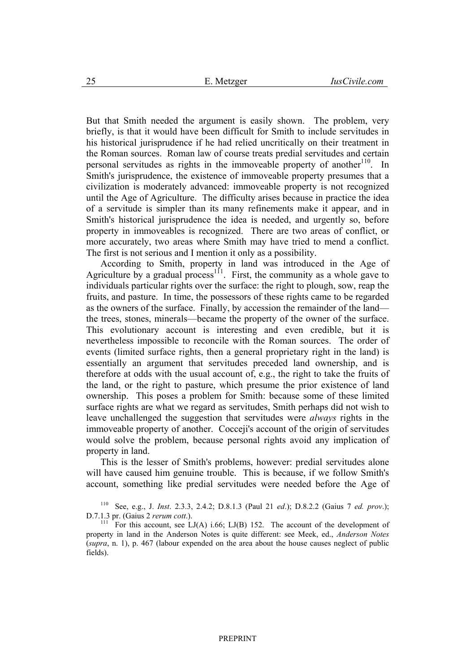But that Smith needed the argument is easily shown. The problem, very briefly, is that it would have been difficult for Smith to include servitudes in his historical jurisprudence if he had relied uncritically on their treatment in the Roman sources. Roman law of course treats predial servitudes and certain personal servitudes as rights in the immoveable property of another $110$ . In Smith's jurisprudence, the existence of immoveable property presumes that a civilization is moderately advanced: immoveable property is not recognized until the Age of Agriculture. The difficulty arises because in practice the idea of a servitude is simpler than its many refinements make it appear, and in Smith's historical jurisprudence the idea is needed, and urgently so, before property in immoveables is recognized. There are two areas of conflict, or more accurately, two areas where Smith may have tried to mend a conflict. The first is not serious and I mention it only as a possibility.

According to Smith, property in land was introduced in the Age of Agriculture by a gradual process<sup>111</sup>. First, the community as a whole gave to individuals particular rights over the surface: the right to plough, sow, reap the fruits, and pasture. In time, the possessors of these rights came to be regarded as the owners of the surface. Finally, by accession the remainder of the land the trees, stones, minerals—became the property of the owner of the surface. This evolutionary account is interesting and even credible, but it is nevertheless impossible to reconcile with the Roman sources. The order of events (limited surface rights, then a general proprietary right in the land) is essentially an argument that servitudes preceded land ownership, and is therefore at odds with the usual account of, e.g., the right to take the fruits of the land, or the right to pasture, which presume the prior existence of land ownership. This poses a problem for Smith: because some of these limited surface rights are what we regard as servitudes, Smith perhaps did not wish to leave unchallenged the suggestion that servitudes were *always* rights in the immoveable property of another. Cocceji's account of the origin of servitudes would solve the problem, because personal rights avoid any implication of property in land.

This is the lesser of Smith's problems, however: predial servitudes alone will have caused him genuine trouble. This is because, if we follow Smith's account, something like predial servitudes were needed before the Age of

<span id="page-25-0"></span><sup>110</sup> See, e.g., J. *Inst*. 2.3.3, 2.4.2; D.8.1.3 (Paul 21 *ed*.); D.8.2.2 (Gaius 7 *ed. prov*.);

<span id="page-25-1"></span>D.7.1.3 pr. (Gaius 2 *rerum cott.*).<br><sup>111</sup> For this account, see LJ(A) i.66; LJ(B) 152. The account of the development of property in land in the Anderson Notes is quite different: see Meek, ed., *Anderson Notes* (*supra*, n. 1), p. 467 (labour expended on the area about the house causes neglect of public fields).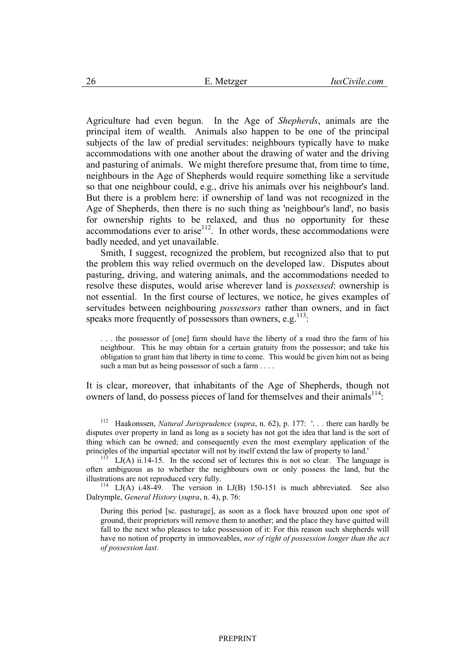Agriculture had even begun. In the Age of *Shepherds*, animals are the principal item of wealth. Animals also happen to be one of the principal subjects of the law of predial servitudes: neighbours typically have to make accommodations with one another about the drawing of water and the driving and pasturing of animals. We might therefore presume that, from time to time, neighbours in the Age of Shepherds would require something like a servitude so that one neighbour could, e.g., drive his animals over his neighbour's land. But there is a problem here: if ownership of land was not recognized in the Age of Shepherds, then there is no such thing as 'neighbour's land', no basis for ownership rights to be relaxed, and thus no opportunity for these  $a$ ccommodations ever to arise $112$ . In other words, these accommodations were badly needed, and yet unavailable.

Smith, I suggest, recognized the problem, but recognized also that to put the problem this way relied overmuch on the developed law. Disputes about pasturing, driving, and watering animals, and the accommodations needed to resolve these disputes, would arise wherever land is *possessed*: ownership is not essential. In the first course of lectures, we notice, he gives examples of servitudes between neighbouring *possessors* rather than owners, and in fact speaks more frequently of possessors than owners, e.g. $^{113}$ :

. . . the possessor of [one] farm should have the liberty of a road thro the farm of his neighbour. This he may obtain for a certain gratuity from the possessor; and take his obligation to grant him that liberty in time to come. This would be given him not as being such a man but as being possessor of such a farm . . . .

It is clear, moreover, that inhabitants of the Age of Shepherds, though not owners of land, do possess pieces of land for themselves and their animals $114$ :

<span id="page-26-0"></span>112 Haakonssen, *Natural Jurisprudence* (*supra*, n. 62), p. 177: '. . . there can hardly be disputes over property in land as long as a society has not got the idea that land is the sort of thing which can be owned; and consequently even the most exemplary application of the principles of the impartial spectator will not by itself extend the law of property to land.'<br><sup>113</sup> LJ(A) ii.14-15. In the second set of lectures this is not so clear. The language is

<span id="page-26-1"></span>often ambiguous as to whether the neighbours own or only possess the land, but the illustrations are not reproduced very fully.<br><sup>114</sup> LJ(A) i.48-49. The version in LJ(B) 150-151 is much abbreviated. See also

<span id="page-26-2"></span>Dalrymple, *General History* (*supra*, n. 4), p. 76:

During this period [sc. pasturage], as soon as a flock have brouzed upon one spot of ground, their proprietors will remove them to another; and the place they have quitted will fall to the next who pleases to take possession of it: For this reason such shepherds will have no notion of property in immoveables, *nor of right of possession longer than the act of possession last*.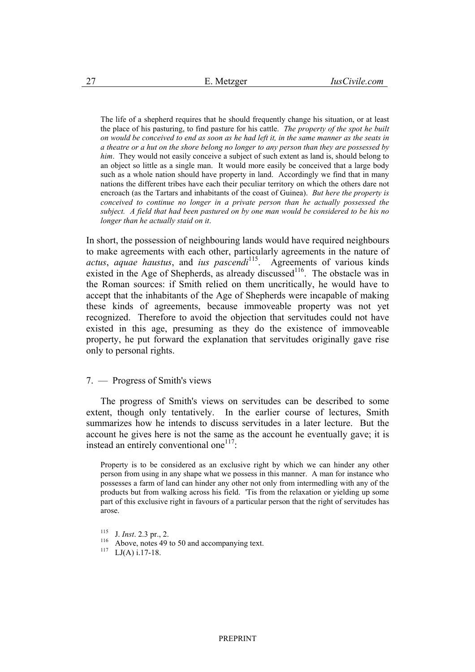The life of a shepherd requires that he should frequently change his situation, or at least the place of his pasturing, to find pasture for his cattle. *The property of the spot he built on would be conceived to end as soon as he had left it, in the same manner as the seats in a theatre or a hut on the shore belong no longer to any person than they are possessed by him*. They would not easily conceive a subject of such extent as land is, should belong to an object so little as a single man. It would more easily be conceived that a large body such as a whole nation should have property in land. Accordingly we find that in many nations the different tribes have each their peculiar territory on which the others dare not encroach (as the Tartars and inhabitants of the coast of Guinea). *But here the property is conceived to continue no longer in a private person than he actually possessed the subject. A field that had been pastured on by one man would be considered to be his no longer than he actually staid on it*.

In short, the possession of neighbouring lands would have required neighbours to make agreements with each other, particularly agreements in the nature of *actus*, *aquae haustus*, and *ius pascendi*[115.](#page-27-0) Agreements of various kinds existed in the Age of Shepherds, as already discussed<sup>116</sup>. The obstacle was in the Roman sources: if Smith relied on them uncritically, he would have to accept that the inhabitants of the Age of Shepherds were incapable of making these kinds of agreements, because immoveable property was not yet recognized. Therefore to avoid the objection that servitudes could not have existed in this age, presuming as they do the existence of immoveable property, he put forward the explanation that servitudes originally gave rise only to personal rights.

#### 7. — Progress of Smith's views

The progress of Smith's views on servitudes can be described to some extent, though only tentatively. In the earlier course of lectures, Smith summarizes how he intends to discuss servitudes in a later lecture. But the account he gives here is not the same as the account he eventually gave; it is instead an entirely conventional one<sup>117</sup>:

Property is to be considered as an exclusive right by which we can hinder any other person from using in any shape what we possess in this manner. A man for instance who possesses a farm of land can hinder any other not only from intermedling with any of the products but from walking across his field. 'Tis from the relaxation or yielding up some part of this exclusive right in favours of a particular person that the right of servitudes has arose.

<span id="page-27-1"></span>

<span id="page-27-0"></span><sup>&</sup>lt;sup>115</sup> J. *Inst.* 2.3 pr., 2.<br><sup>116</sup> Above, notes 49 to 50 and accompanying text.<br><sup>117</sup> LJ(A) i.17-18.

<span id="page-27-2"></span>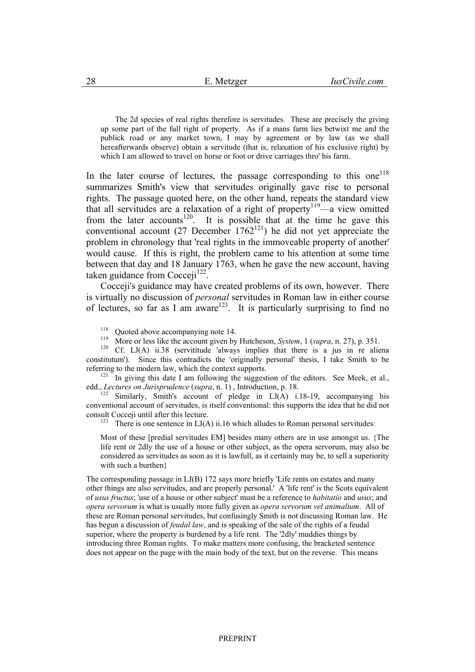<span id="page-28-5"></span>The 2d species of real rights therefore is servitudes. These are precisely the giving up some part of the full right of property. As if a mans farm lies betwixt me and the publick road or any market town, I may by agreement or by law (as we shall hereafterwards observe) obtain a servitude (that is, relaxation of his exclusive right) by which I am allowed to travel on horse or foot or drive carriages thro' his farm.

In the later course of lectures, the passage corresponding to this one<sup>118</sup> summarizes Smith's view that servitudes originally gave rise to personal rights. The passage quoted here, on the other hand, repeats the standard view that all servitudes are a relaxation of a right of property<sup>119</sup>—a view omitted from the later accounts<sup>120</sup>. It is possible that at the time he gave this conventional account (27 December  $1762^{121}$ ) he did not yet appreciate the problem in chronology that 'real rights in the immoveable property of another' would cause. If this is right, the problem came to his attention at some time between that day and 18 January 1763, when he gave the new account, having taken guidance from Cocceji $^{122}$ .

Cocceji's guidance may have created problems of its own, however. There is virtually no discussion of *personal* servitudes in Roman law in either course of lectures, so far as I am aware<sup>123</sup>. It is particularly surprising to find no

<span id="page-28-0"></span>

<span id="page-28-2"></span><span id="page-28-1"></span>

<sup>118</sup> Quoted above accompanying note 14.<br><sup>119</sup> More or less like the account given by Hutcheson, *System*, 1 (*supra*, n. 27), p. 351.<br><sup>120</sup> Cf. LJ(A) ii.38 (servititude 'always implies that there is a jus in re aliena constitutum'). Since this contradicts the 'originally personal' thesis, I take Smith to be referring to the modern law, which the context supports.<br><sup>121</sup> In giving this date I am following the suggestion of the editors. See Meek, et al.,

<span id="page-28-3"></span>edd., *Lectures on Jurisprudence* (*supra*, n. 1), Introduction, p. 18.<br><sup>122</sup> Similarly, Smith's account of pledge in LJ(A) i.18-19, accompanying his

<span id="page-28-4"></span>conventional account of servitudes, is itself conventional: this supports the idea that he did not consult Cocceji until after this lecture.<br><sup>123</sup> There is one sentence in LJ(A) ii.16 which alludes to Roman personal servitudes:

Most of these [predial servitudes EM] besides many others are in use amongst us. {The life rent or 2dly the use of a house or other subject, as the opera servorum, may also be considered as servitudes as soon as it is lawfull, as it certainly may be, to sell a superiority with such a burthen}

The corresponding passage in LJ(B) 172 says more briefly 'Life rents on estates and many other things are also servitudes, and are properly personal.' A 'life rent' is the Scots equivalent of *usus fructus*; 'use of a house or other subject' must be a reference to *habitatio* and *usus*; and *opera servorum* is what is usually more fully given as *opera servorum vel animalium*. All of these are Roman personal servitudes, but confusingly Smith is not discussing Roman law. He has begun a discussion of *feudal law*, and is speaking of the sale of the rights of a feudal superior, where the property is burdened by a life rent. The '2dly' muddies things by introducing three Roman rights. To make matters more confusing, the bracketed sentence does not appear on the page with the main body of the text, but on the reverse. This means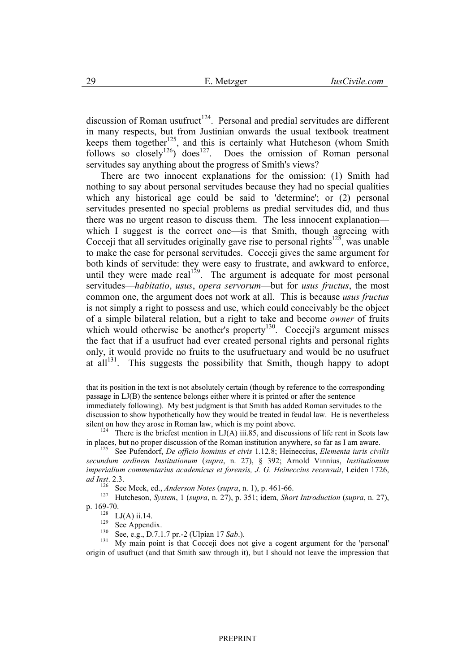<span id="page-29-7"></span>discussion of Roman usufruct<sup>124</sup>. Personal and predial servitudes are different in many respects, but from Justinian onwards the usual textbook treatment keeps them together<sup>125</sup>, and this is certainly what Hutcheson (whom Smith follows so closely<sup>126</sup>) does<sup>127</sup>. Does the omission of Roman personal servitudes say anything about the progress of Smith's views?

There are two innocent explanations for the omission: (1) Smith had nothing to say about personal servitudes because they had no special qualities which any historical age could be said to 'determine'; or (2) personal servitudes presented no special problems as predial servitudes did, and thus there was no urgent reason to discuss them. The less innocent explanation which I suggest is the correct one—is that Smith, though agreeing with Cocceji that all servitudes originally gave rise to personal rights<sup>128</sup>, was unable to make the case for personal servitudes. Cocceji gives the same argument for both kinds of servitude: they were easy to frustrate, and awkward to enforce, until they were made real<sup>129</sup>. The argument is adequate for most personal servitudes—*habitatio*, *usus*, *opera servorum*—but for *usus fructus*, the most common one, the argument does not work at all. This is because *usus fructus* is not simply a right to possess and use, which could conceivably be the object of a simple bilateral relation, but a right to take and become *owner* of fruits which would otherwise be another's property<sup>130</sup>. Cocceji's argument misses the fact that if a usufruct had ever created personal rights and personal rights only, it would provide no fruits to the usufructuary and would be no usufruct at  $all^{131}$ . This suggests the possibility that Smith, though happy to adopt

that its position in the text is not absolutely certain (though by reference to the corresponding passage in LJ(B) the sentence belongs either where it is printed or after the sentence immediately following). My best judgment is that Smith has added Roman servitudes to the discussion to show hypothetically how they would be treated in feudal law. He is nevertheless silent on how they arose in Roman law, which is my point above.<br><sup>124</sup> There is the briefest mention in LJ(A) iii.85, and discussions of life rent in Scots law

<span id="page-29-0"></span>

<span id="page-29-1"></span>in places, but no proper discussion of the Roman institution anywhere, so far as I am aware.<br><sup>125</sup> See Pufendorf, *De officio hominis et civis* 1.12.8; Heineccius, *Elementa iuris civilis secundum ordinem Institutionum* (*supra*, n. 27), § 392; Arnold Vinnius, *Institutionum imperialium commentarius academicus et forensis, J. G. Heineccius recensuit*, Leiden 1726,

<span id="page-29-3"></span><span id="page-29-2"></span>

*ad Inst*. 2.3. 126 See Meek, ed., *Anderson Notes* (*supra*, n. 1), p. 461-66. 127 Hutcheson, *System*, 1 (*supra*, n. 27), p. 351; idem, *Short Introduction* (*supra*, n. 27), p. 169-70.<br><sup>128</sup> LJ(A) ii.14.<br><sup>129</sup> See Appendix.<br><sup>130</sup> See, e.g., D.7.1.7 pr.-2 (Ulpian 17 *Sab*.).<br><sup>131</sup> My main point is that Cocceji does not give a cogent argument for the 'personal'

<span id="page-29-4"></span>

<span id="page-29-5"></span>

<span id="page-29-6"></span>

origin of usufruct (and that Smith saw through it), but I should not leave the impression that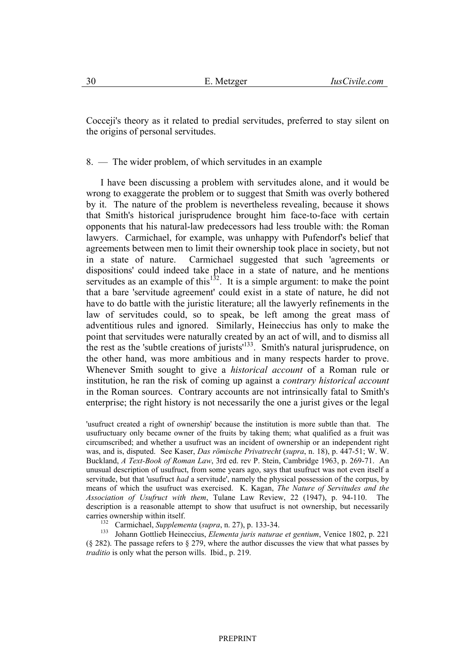Cocceji's theory as it related to predial servitudes, preferred to stay silent on the origins of personal servitudes.

8. — The wider problem, of which servitudes in an example

I have been discussing a problem with servitudes alone, and it would be wrong to exaggerate the problem or to suggest that Smith was overly bothered by it. The nature of the problem is nevertheless revealing, because it shows that Smith's historical jurisprudence brought him face-to-face with certain opponents that his natural-law predecessors had less trouble with: the Roman lawyers. Carmichael, for example, was unhappy with Pufendorf's belief that agreements between men to limit their ownership took place in society, but not in a state of nature. Carmichael suggested that such 'agreements or dispositions' could indeed take place in a state of nature, and he mentions servitudes as an example of this<sup>132</sup>. It is a simple argument: to make the point that a bare 'servitude agreement' could exist in a state of nature, he did not have to do battle with the juristic literature; all the lawyerly refinements in the law of servitudes could, so to speak, be left among the great mass of adventitious rules and ignored. Similarly, Heineccius has only to make the point that servitudes were naturally created by an act of will, and to dismiss all the rest as the 'subtle creations of jurists'<sup>133</sup>. Smith's natural jurisprudence, on the other hand, was more ambitious and in many respects harder to prove. Whenever Smith sought to give a *historical account* of a Roman rule or institution, he ran the risk of coming up against a *contrary historical account* in the Roman sources. Contrary accounts are not intrinsically fatal to Smith's enterprise; the right history is not necessarily the one a jurist gives or the legal

'usufruct created a right of ownership' because the institution is more subtle than that. The usufructuary only became owner of the fruits by taking them; what qualified as a fruit was circumscribed; and whether a usufruct was an incident of ownership or an independent right was, and is, disputed. See Kaser, *Das römische Privatrecht* (*supra*, n. 18), p. 447-51; W. W. Buckland, *A Text-Book of Roman Law*, 3rd ed. rev P. Stein, Cambridge 1963, p. 269-71. An unusual description of usufruct, from some years ago, says that usufruct was not even itself a servitude, but that 'usufruct *had* a servitude', namely the physical possession of the corpus, by means of which the usufruct was exercised. K. Kagan, *The Nature of Servitudes and the Association of Usufruct with them*, Tulane Law Review, 22 (1947), p. 94-110. The description is a reasonable attempt to show that usufruct is not ownership, but necessarily

<span id="page-30-1"></span><span id="page-30-0"></span>

carries ownership within itself. 132 Carmichael, *Supplementa* (*supra*, n. 27), p. 133-34. 133 Johann Gottlieb Heineccius, *Elementa juris naturae et gentium*, Venice 1802, p. 221  $(\S$  282). The passage refers to  $\S$  279, where the author discusses the view that what passes by *traditio* is only what the person wills. Ibid., p. 219.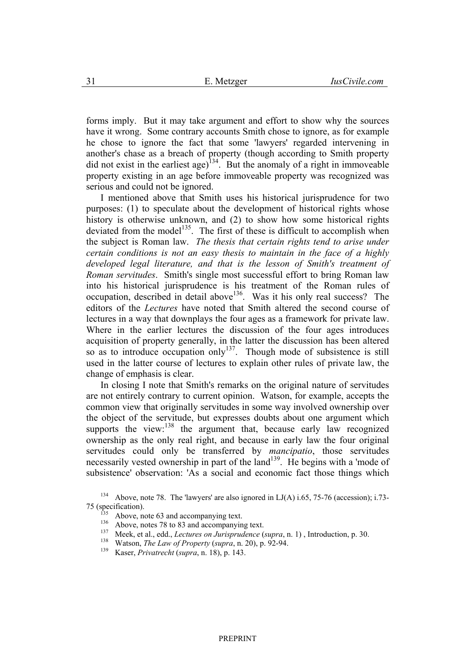forms imply. But it may take argument and effort to show why the sources have it wrong. Some contrary accounts Smith chose to ignore, as for example he chose to ignore the fact that some 'lawyers' regarded intervening in another's chase as a breach of property (though according to Smith property did not exist in the earliest age)<sup>134</sup>. But the anomaly of a right in immoveable property existing in an age before immoveable property was recognized was serious and could not be ignored.

I mentioned above that Smith uses his historical jurisprudence for two purposes: (1) to speculate about the development of historical rights whose history is otherwise unknown, and (2) to show how some historical rights deviated from the model<sup>135</sup>. The first of these is difficult to accomplish when the subject is Roman law. *The thesis that certain rights tend to arise under certain conditions is not an easy thesis to maintain in the face of a highly developed legal literature, and that is the lesson of Smith's treatment of Roman servitudes*. Smith's single most successful effort to bring Roman law into his historical jurisprudence is his treatment of the Roman rules of occupation, described in detail above<sup>136</sup>. Was it his only real success? The editors of the *Lectures* have noted that Smith altered the second course of lectures in a way that downplays the four ages as a framework for private law. Where in the earlier lectures the discussion of the four ages introduces acquisition of property generally, in the latter the discussion has been altered so as to introduce occupation only<sup>137</sup>. Though mode of subsistence is still used in the latter course of lectures to explain other rules of private law, the change of emphasis is clear.

In closing I note that Smith's remarks on the original nature of servitudes are not entirely contrary to current opinion. Watson, for example, accepts the common view that originally servitudes in some way involved ownership over the object of the servitude, but expresses doubts about one argument which supports the view: $138$  the argument that, because early law recognized ownership as the only real right, and because in early law the four original servitudes could only be transferred by *mancipatio*, those servitudes necessarily vested ownership in part of the land<sup>139</sup>. He begins with a 'mode of subsistence' observation: 'As a social and economic fact those things which

<sup>134</sup> Above, note 78. The 'lawyers' are also ignored in LJ(A) i.65, 75-76 (accession); i.73-75 (specification).<br>
<sup>135</sup> Above, note 63 and accompanying text.<br>
<sup>136</sup> Above, notes 78 to 83 and accompanying text.<br>
<sup>137</sup> Meek, et al., edd., *Lectures on Jurisprudence* (*supra*, n. 1), Introduction, p. 30.<br>
<sup>138</sup> Wats

- <span id="page-31-1"></span><span id="page-31-0"></span>
- <span id="page-31-2"></span>
- <span id="page-31-3"></span>
- <span id="page-31-4"></span>
- <span id="page-31-5"></span>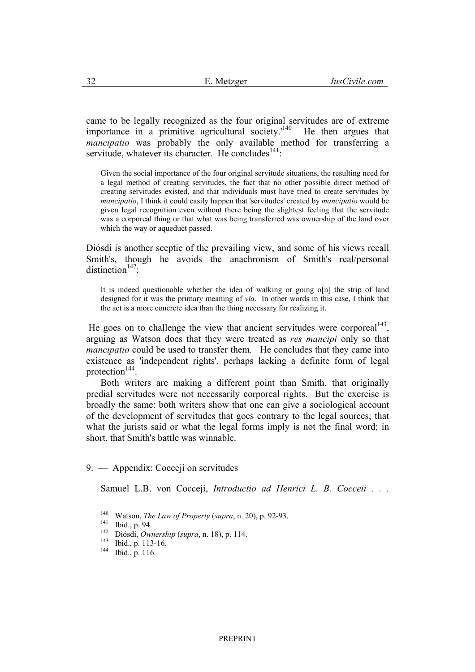came to be legally recognized as the four original servitudes are of extreme importance in a primitive agricultural society.<sup> $140$ </sup> He then argues that *mancipatio* was probably the only available method for transferring a servitude, whatever its character. He concludes $141$ :

Given the social importance of the four original servitude situations, the resulting need for a legal method of creating servitudes, the fact that no other possible direct method of creating servitudes existed, and that individuals must have tried to create servitudes by *mancipatio*, I think it could easily happen that 'servitudes' created by *mancipatio* would be given legal recognition even without there being the slightest feeling that the servitude was a corporeal thing or that what was being transferred was ownership of the land over which the way or aqueduct passed.

Diósdi is another sceptic of the prevailing view, and some of his views recall Smith's, though he avoids the anachronism of Smith's real/personal distinction $142$ .

It is indeed questionable whether the idea of walking or going o[n] the strip of land designed for it was the primary meaning of *via*. In other words in this case, I think that the act is a more concrete idea than the thing necessary for realizing it.

He goes on to challenge the view that ancient servitudes were corporeal $143$ , arguing as Watson does that they were treated as *res mancipi* only so that *mancipatio* could be used to transfer them. He concludes that they came into existence as 'independent rights', perhaps lacking a definite form of legal protection $144$ .

Both writers are making a different point than Smith, that originally predial servitudes were not necessarily corporeal rights. But the exercise is broadly the same: both writers show that one can give a sociological account of the development of servitudes that goes contrary to the legal sources; that what the jurists said or what the legal forms imply is not the final word; in short, that Smith's battle was winnable.

9. — Appendix: Cocceji on servitudes

Samuel L.B. von Cocceji, *Introductio ad Henrici L. B. Cocceii . . .* 

<span id="page-32-0"></span>140 Watson, *The Law of Property* (*supra*, n. 20), p. 92-93. 141 Ibid., p. 94. 142 Diósdi, *Ownership* (*supra*, n. 18), p. 114. 143 Ibid., p. 113-16. 144 Ibid., p. 116.

- <span id="page-32-2"></span>
- <span id="page-32-3"></span>
- <span id="page-32-4"></span>

<span id="page-32-1"></span>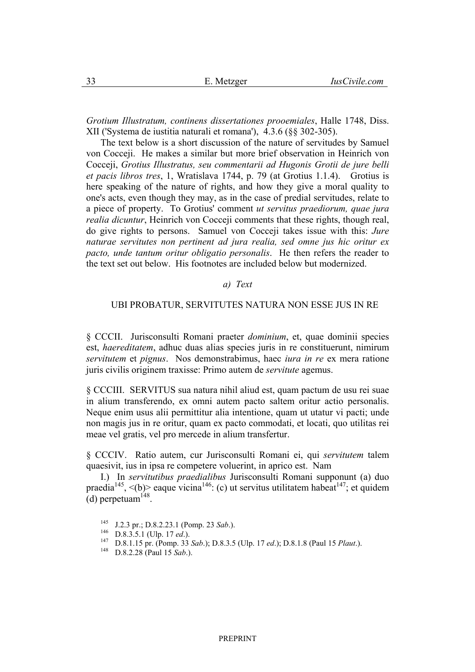*Grotium Illustratum, continens dissertationes prooemiales*, Halle 1748, Diss. XII ('Systema de iustitia naturali et romana'), 4.3.6 (§§ 302-305).

The text below is a short discussion of the nature of servitudes by Samuel von Cocceji. He makes a similar but more brief observation in Heinrich von Cocceji, *Grotius Illustratus, seu commentarii ad Hugonis Grotii de jure belli et pacis libros tres*, 1, Wratislava 1744, p. 79 (at Grotius 1.1.4). Grotius is here speaking of the nature of rights, and how they give a moral quality to one's acts, even though they may, as in the case of predial servitudes, relate to a piece of property. To Grotius' comment *ut servitus praediorum, quae jura realia dicuntur*, Heinrich von Cocceji comments that these rights, though real, do give rights to persons. Samuel von Cocceji takes issue with this: *Jure naturae servitutes non pertinent ad jura realia, sed omne jus hic oritur ex pacto, unde tantum oritur obligatio personalis*. He then refers the reader to the text set out below. His footnotes are included below but modernized.

# *a) Text*

#### UBI PROBATUR, SERVITUTES NATURA NON ESSE JUS IN RE

§ CCCII. Jurisconsulti Romani praeter *dominium*, et, quae dominii species est, *haereditatem*, adhuc duas alias species juris in re constituerunt, nimirum *servitutem* et *pignus*. Nos demonstrabimus, haec *iura in re* ex mera ratione juris civilis originem traxisse: Primo autem de *servitute* agemus.

§ CCCIII. SERVITUS sua natura nihil aliud est, quam pactum de usu rei suae in alium transferendo, ex omni autem pacto saltem oritur actio personalis. Neque enim usus alii permittitur alia intentione, quam ut utatur vi pacti; unde non magis jus in re oritur, quam ex pacto commodati, et locati, quo utilitas rei meae vel gratis, vel pro mercede in alium transfertur.

§ CCCIV. Ratio autem, cur Jurisconsulti Romani ei, qui *servitutem* talem quaesivit, ius in ipsa re competere voluerint, in aprico est. Nam

I.) In *servitutibus praedialibus* Jurisconsulti Romani supponunt (a) duo praedia<sup>145</sup>,  $\langle$ (b) eaque vicina<sup>146</sup>: (c) ut servitus utilitatem habeat<sup>147</sup>; et quidem (d) perpetuam<sup> $148$ </sup>.

- <span id="page-33-0"></span><sup>145</sup> J.2.3 pr.; D.8.2.23.1 (Pomp. 23 Sab.).<br><sup>146</sup> D.8.3.5.1 (Ulp. 17 ed.).<br><sup>147</sup> D.8.1.15 pr. (Pomp. 33 Sab.); D.8.3.5 (Ulp. 17 ed.); D.8.1.8 (Paul 15 *Plaut.*).<br><sup>148</sup> D.8.2.28 (Paul 15 Sab.).
- <span id="page-33-3"></span>

<span id="page-33-2"></span><span id="page-33-1"></span>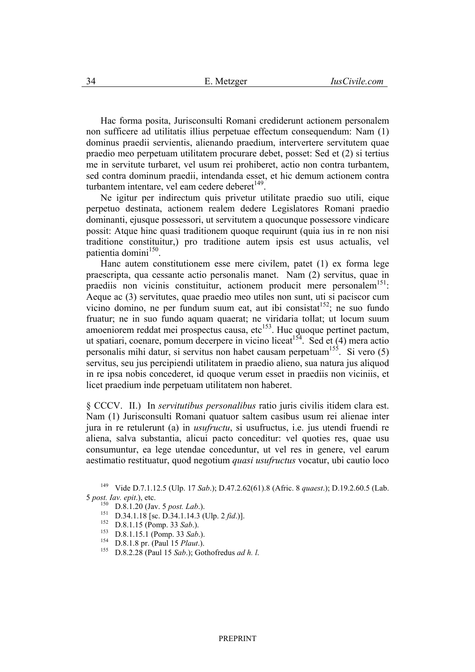Hac forma posita, Jurisconsulti Romani crediderunt actionem personalem non sufficere ad utilitatis illius perpetuae effectum consequendum: Nam (1) dominus praedii servientis, alienando praedium, intervertere servitutem quae praedio meo perpetuam utilitatem procurare debet, posset: Sed et (2) si tertius me in servitute turbaret, vel usum rei prohiberet, actio non contra turbantem, sed contra dominum praedii, intendanda esset, et hic demum actionem contra turbantem intentare, vel eam cedere deberet $149$ .

Ne igitur per indirectum quis privetur utilitate praedio suo utili, eique perpetuo destinata, actionem realem dedere Legislatores Romani praedio dominanti, ejusque possessori, ut servitutem a quocunque possessore vindicare possit: Atque hinc quasi traditionem quoque requirunt (quia ius in re non nisi traditione constituitur,) pro traditione autem ipsis est usus actualis, vel patientia domini $150$ .

Hanc autem constitutionem esse mere civilem, patet (1) ex forma lege praescripta, qua cessante actio personalis manet. Nam (2) servitus, quae in praediis non vicinis constituitur, actionem producit mere personalem<sup>151</sup>: Aeque ac (3) servitutes, quae praedio meo utiles non sunt, uti si paciscor cum vicino domino, ne per fundum suum eat, aut ibi consistat $^{152}$ ; ne suo fundo fruatur; ne in suo fundo aquam quaerat; ne viridaria tollat; ut locum suum amoeniorem reddat mei prospectus causa, etc $^{153}$ . Huc quoque pertinet pactum, ut spatiari, coenare, pomum decerpere in vicino liceat<sup>154</sup>. Sed et (4) mera actio personalis mihi datur, si servitus non habet causam perpetuam<sup>155</sup>. Si vero  $(5)$ servitus, seu jus percipiendi utilitatem in praedio alieno, sua natura jus aliquod in re ipsa nobis concederet, id quoque verum esset in praediis non viciniis, et licet praedium inde perpetuam utilitatem non haberet.

§ CCCV. II.) In *servitutibus personalibus* ratio juris civilis itidem clara est. Nam (1) Jurisconsulti Romani quatuor saltem casibus usum rei alienae inter jura in re retulerunt (a) in *usufructu*, si usufructus, i.e. jus utendi fruendi re aliena, salva substantia, alicui pacto conceditur: vel quoties res, quae usu consumuntur, ea lege utendae conceduntur, ut vel res in genere, vel earum aestimatio restituatur, quod negotium *quasi usufructus* vocatur, ubi cautio loco

- <span id="page-34-2"></span>
- <span id="page-34-3"></span>
- <span id="page-34-4"></span>
- <span id="page-34-5"></span>
- <span id="page-34-6"></span>

<sup>149</sup> Vide D.7.1.12.5 (Ulp. 17 *Sab*.); D.47.2.62(61).8 (Afric. 8 *quaest*.); D.19.2.60.5 (Lab. 5 post. Iav. epit.), etc.<br>
<sup>150</sup> D.8.1.20 (Jav. 5 post. Lab.).<br>
<sup>151</sup> D.34.1.18 [sc. D.34.1.14.3 (Ulp. 2 *fid.*)].<br>
<sup>152</sup> D.8.1.15 (Pomp. 33 *Sab.*).<br>
<sup>153</sup> D.8.1.15.1 (Pomp. 33 *Sab.*).<br>
<sup>154</sup> D.8.1.8 pr. (Paul 15 *Plaut.* 

<span id="page-34-1"></span><span id="page-34-0"></span>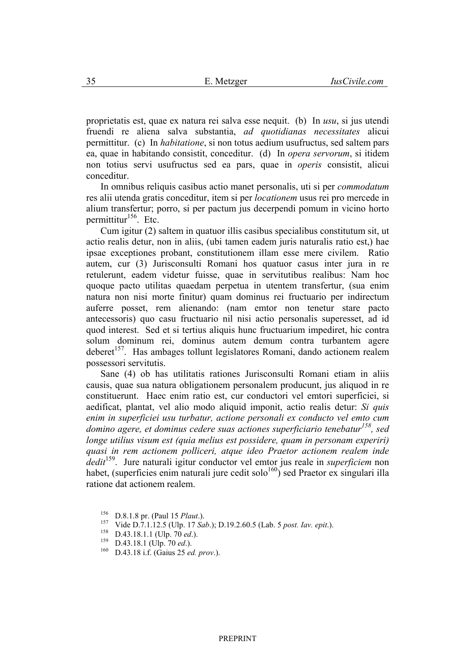proprietatis est, quae ex natura rei salva esse nequit. (b) In *usu*, si jus utendi fruendi re aliena salva substantia, *ad quotidianas necessitates* alicui permittitur. (c) In *habitatione*, si non totus aedium usufructus, sed saltem pars ea, quae in habitando consistit, conceditur. (d) In *opera servorum*, si itidem non totius servi usufructus sed ea pars, quae in *operis* consistit, alicui conceditur.

In omnibus reliquis casibus actio manet personalis, uti si per *commodatum* res alii utenda gratis conceditur, item si per *locationem* usus rei pro mercede in alium transfertur; porro, si per pactum jus decerpendi pomum in vicino horto permittitur<sup>156</sup>. Etc.

Cum igitur (2) saltem in quatuor illis casibus specialibus constitutum sit, ut actio realis detur, non in aliis, (ubi tamen eadem juris naturalis ratio est,) hae ipsae exceptiones probant, constitutionem illam esse mere civilem. Ratio autem, cur (3) Jurisconsulti Romani hos quatuor casus inter jura in re retulerunt, eadem videtur fuisse, quae in servitutibus realibus: Nam hoc quoque pacto utilitas quaedam perpetua in utentem transfertur, (sua enim natura non nisi morte finitur) quam dominus rei fructuario per indirectum auferre posset, rem alienando: (nam emtor non tenetur stare pacto antecessoris) quo casu fructuario nil nisi actio personalis superesset, ad id quod interest. Sed et si tertius aliquis hunc fructuarium impediret, hic contra solum dominum rei, dominus autem demum contra turbantem agere deberet<sup>157</sup>. Has ambages tollunt legislatores Romani, dando actionem realem possessori servitutis.

Sane (4) ob has utilitatis rationes Jurisconsulti Romani etiam in aliis causis, quae sua natura obligationem personalem producunt, jus aliquod in re constituerunt. Haec enim ratio est, cur conductori vel emtori superficiei, si aedificat, plantat, vel alio modo aliquid imponit, actio realis detur: *Si quis enim in superficiei usu turbatur, actione personali ex conducto vel emto cum domino agere, et dominus cedere suas actiones superficiario tenebatur[158,](#page-35-2) sed longe utilius visum est (quia melius est possidere, quam in personam experiri) quasi in rem actionem polliceri, atque ideo Praetor actionem realem inde dedit*[159.](#page-35-3) Jure naturali igitur conductor vel emtor jus reale in *superficiem* non habet, (superficies enim naturali jure cedit solo $^{160}$ ) sed Praetor ex singulari illa ratione dat actionem realem.

- <span id="page-35-1"></span><span id="page-35-0"></span>
- <sup>156</sup> D.8.1.8 pr. (Paul 15 *Plaut.*).<br>
<sup>157</sup> Vide D.7.1.12.5 (Ulp. 17 *Sab.*); D.19.2.60.5 (Lab. 5 *post. Iav. epit.*).<br>
<sup>158</sup> D.43.18.1.1 (Ulp. 70 *ed.*).<br>
<sup>159</sup> D.43.18.1 (Ulp. 70 *ed.*).<br>
<sup>160</sup> D.43.18 i.f. (Gaius 25
- <span id="page-35-2"></span>
- <span id="page-35-3"></span>
- <span id="page-35-4"></span>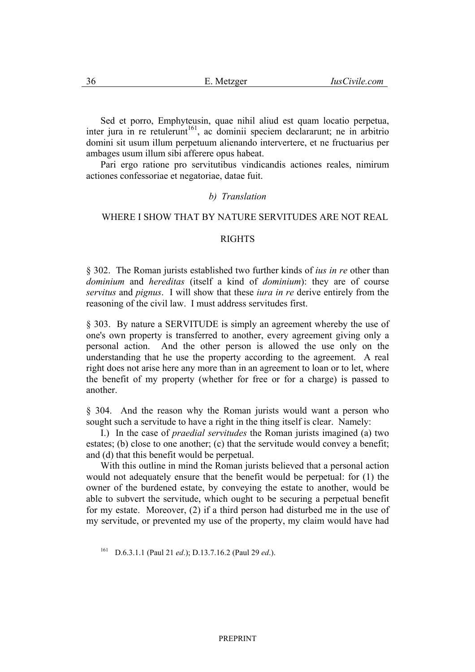Sed et porro, Emphyteusin, quae nihil aliud est quam locatio perpetua, inter jura in re retulerunt<sup>161</sup>, ac dominii speciem declararunt; ne in arbitrio domini sit usum illum perpetuum alienando intervertere, et ne fructuarius per ambages usum illum sibi afferere opus habeat.

Pari ergo ratione pro servitutibus vindicandis actiones reales, nimirum actiones confessoriae et negatoriae, datae fuit.

## *b) Translation*

#### WHERE I SHOW THAT BY NATURE SERVITUDES ARE NOT REAL

### RIGHTS

§ 302. The Roman jurists established two further kinds of *ius in re* other than *dominium* and *hereditas* (itself a kind of *dominium*): they are of course *servitus* and *pignus*. I will show that these *iura in re* derive entirely from the reasoning of the civil law. I must address servitudes first.

§ 303. By nature a SERVITUDE is simply an agreement whereby the use of one's own property is transferred to another, every agreement giving only a personal action. And the other person is allowed the use only on the understanding that he use the property according to the agreement. A real right does not arise here any more than in an agreement to loan or to let, where the benefit of my property (whether for free or for a charge) is passed to another.

§ 304. And the reason why the Roman jurists would want a person who sought such a servitude to have a right in the thing itself is clear. Namely:

I.) In the case of *praedial servitudes* the Roman jurists imagined (a) two estates; (b) close to one another; (c) that the servitude would convey a benefit; and (d) that this benefit would be perpetual.

With this outline in mind the Roman jurists believed that a personal action would not adequately ensure that the benefit would be perpetual: for (1) the owner of the burdened estate, by conveying the estate to another, would be able to subvert the servitude, which ought to be securing a perpetual benefit for my estate. Moreover, (2) if a third person had disturbed me in the use of my servitude, or prevented my use of the property, my claim would have had

<span id="page-36-0"></span><sup>161</sup> D.6.3.1.1 (Paul 21 *ed*.); D.13.7.16.2 (Paul 29 *ed*.).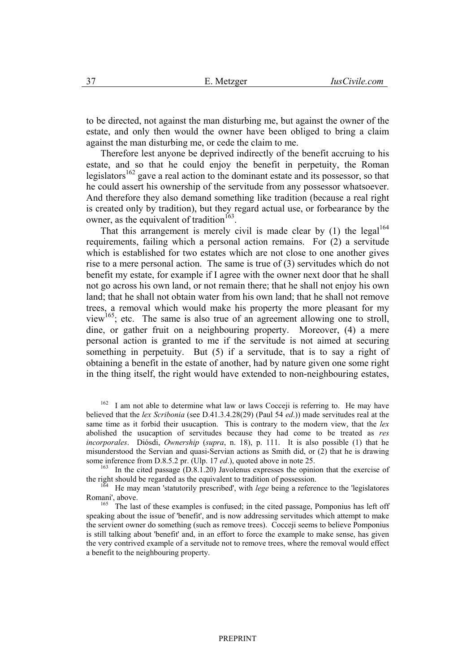to be directed, not against the man disturbing me, but against the owner of the estate, and only then would the owner have been obliged to bring a claim against the man disturbing me, or cede the claim to me.

Therefore lest anyone be deprived indirectly of the benefit accruing to his estate, and so that he could enjoy the benefit in perpetuity, the Roman legislators<sup>162</sup> gave a real action to the dominant estate and its possessor, so that he could assert his ownership of the servitude from any possessor whatsoever. And therefore they also demand something like tradition (because a real right is created only by tradition), but they regard actual use, or forbearance by the owner, as the equivalent of tradition<sup> $163$ </sup>.

That this arrangement is merely civil is made clear by  $(1)$  the legal<sup>164</sup> requirements, failing which a personal action remains. For (2) a servitude which is established for two estates which are not close to one another gives rise to a mere personal action. The same is true of (3) servitudes which do not benefit my estate, for example if I agree with the owner next door that he shall not go across his own land, or not remain there; that he shall not enjoy his own land; that he shall not obtain water from his own land; that he shall not remove trees, a removal which would make his property the more pleasant for my view<sup>165</sup>; etc. The same is also true of an agreement allowing one to stroll, dine, or gather fruit on a neighbouring property. Moreover, (4) a mere personal action is granted to me if the servitude is not aimed at securing something in perpetuity. But (5) if a servitude, that is to say a right of obtaining a benefit in the estate of another, had by nature given one some right in the thing itself, the right would have extended to non-neighbouring estates,

<span id="page-37-0"></span>I am not able to determine what law or laws Cocceji is referring to. He may have believed that the *lex Scribonia* (see D.41.3.4.28(29) (Paul 54 *ed*.)) made servitudes real at the same time as it forbid their usucaption. This is contrary to the modern view, that the *lex* abolished the usucaption of servitudes because they had come to be treated as *res incorporales*. Diósdi, *Ownership* (*supra*, n. 18), p. 111. It is also possible (1) that he misunderstood the Servian and quasi-Servian actions as Smith did, or (2) that he is drawing

<span id="page-37-1"></span>some inference from D.8.5.2 pr. (Ulp. 17 *ed.*), quoted above in note 25. In the cited passage (D.8.1.20) Javolenus expresses the opinion that the exercise of the right should be regarded as the equivalent to tradition of

<span id="page-37-2"></span><sup>&</sup>lt;sup>164</sup> He may mean 'statutorily prescribed', with *lege* being a reference to the 'legislatores Romani', above.<br><sup>165</sup> The last of these examples is confused; in the cited passage, Pomponius has left off

<span id="page-37-3"></span>speaking about the issue of 'benefit', and is now addressing servitudes which attempt to make the servient owner do something (such as remove trees). Cocceji seems to believe Pomponius is still talking about 'benefit' and, in an effort to force the example to make sense, has given the very contrived example of a servitude not to remove trees, where the removal would effect a benefit to the neighbouring property.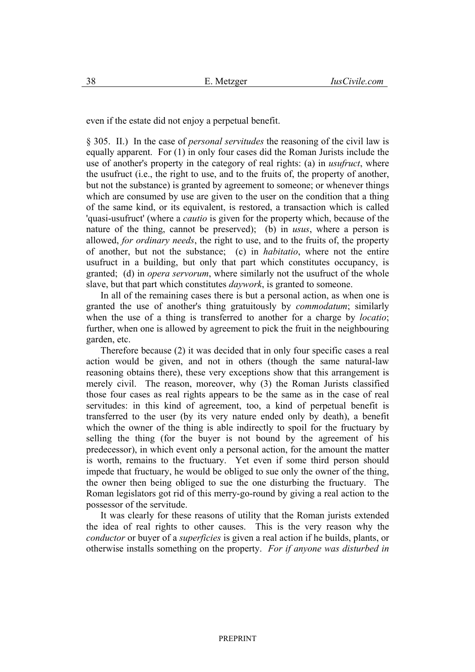even if the estate did not enjoy a perpetual benefit.

§ 305. II.) In the case of *personal servitudes* the reasoning of the civil law is equally apparent. For (1) in only four cases did the Roman Jurists include the use of another's property in the category of real rights: (a) in *usufruct*, where the usufruct (i.e., the right to use, and to the fruits of, the property of another, but not the substance) is granted by agreement to someone; or whenever things which are consumed by use are given to the user on the condition that a thing of the same kind, or its equivalent, is restored, a transaction which is called 'quasi-usufruct' (where a *cautio* is given for the property which, because of the nature of the thing, cannot be preserved); (b) in *usus*, where a person is allowed, *for ordinary needs*, the right to use, and to the fruits of, the property of another, but not the substance; (c) in *habitatio*, where not the entire usufruct in a building, but only that part which constitutes occupancy, is granted; (d) in *opera servorum*, where similarly not the usufruct of the whole slave, but that part which constitutes *daywork*, is granted to someone.

In all of the remaining cases there is but a personal action, as when one is granted the use of another's thing gratuitously by *commodatum*; similarly when the use of a thing is transferred to another for a charge by *locatio*; further, when one is allowed by agreement to pick the fruit in the neighbouring garden, etc.

Therefore because (2) it was decided that in only four specific cases a real action would be given, and not in others (though the same natural-law reasoning obtains there), these very exceptions show that this arrangement is merely civil. The reason, moreover, why (3) the Roman Jurists classified those four cases as real rights appears to be the same as in the case of real servitudes: in this kind of agreement, too, a kind of perpetual benefit is transferred to the user (by its very nature ended only by death), a benefit which the owner of the thing is able indirectly to spoil for the fructuary by selling the thing (for the buyer is not bound by the agreement of his predecessor), in which event only a personal action, for the amount the matter is worth, remains to the fructuary. Yet even if some third person should impede that fructuary, he would be obliged to sue only the owner of the thing, the owner then being obliged to sue the one disturbing the fructuary. The Roman legislators got rid of this merry-go-round by giving a real action to the possessor of the servitude.

It was clearly for these reasons of utility that the Roman jurists extended the idea of real rights to other causes. This is the very reason why the *conductor* or buyer of a *superficies* is given a real action if he builds, plants, or otherwise installs something on the property. *For if anyone was disturbed in*